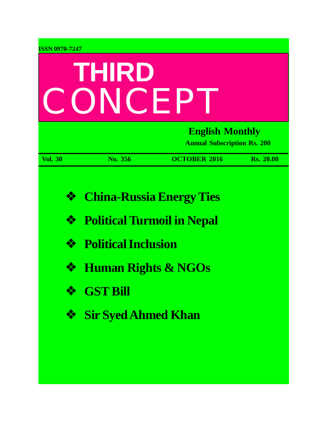| <b>ISSN 0970-7247</b>      |                                                                                                                                                                                       |                                                              |                  |  |
|----------------------------|---------------------------------------------------------------------------------------------------------------------------------------------------------------------------------------|--------------------------------------------------------------|------------------|--|
| THIRD<br>ONCEP             |                                                                                                                                                                                       |                                                              |                  |  |
|                            |                                                                                                                                                                                       | <b>English Monthly</b><br><b>Annual Subscription Rs. 200</b> |                  |  |
| <b>Vol. 30</b>             | No. 356                                                                                                                                                                               | <b>OCTOBER 2016</b>                                          | <b>Rs. 20.00</b> |  |
| ❖<br>❖<br>❖<br>❖<br>❖<br>❖ | <b>China-Russia Energy Ties</b><br><b>Political Turmoil in Nepal</b><br><b>Political Inclusion</b><br><b>Human Rights &amp; NGOs</b><br><b>GST Bill</b><br><b>Sir Syed Ahmed Khan</b> |                                                              |                  |  |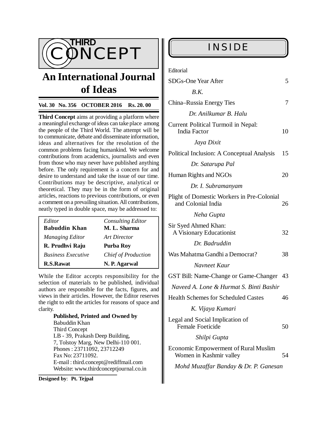

# **An International Journal of Ideas**

#### **Vol. 30 No. 356 OCTOBER 2016 Rs. 20. 00**

**Third Concept** aims at providing a platform where a meaningful exchange of ideas can take place among the people of the Third World. The attempt will be to communicate, debate and disseminate information, ideas and alternatives for the resolution of the common problems facing humankind. We welcome contributions from academics, journalists and even from those who may never have published anything before. The only requirement is a concern for and desire to understand and take the issue of our time. Contributions may be descriptive, analytical or theoretical. They may be in the form of original articles, reactions to previous contributions, or even a comment on a prevailing situation. All contributions, neatly typed in double space, may be addressed to:

| Editor                    | <b>Consulting Editor</b>   |
|---------------------------|----------------------------|
| <b>Babuddin Khan</b>      | M. L. Sharma               |
| <b>Managing Editor</b>    | Art Director               |
| R. Prudhvi Raju           | <b>Purba Roy</b>           |
| <b>Business Executive</b> | <b>Chief of Production</b> |
| R.S.Rawat                 | N. P. Agarwal              |

While the Editor accepts responsibility for the selection of materials to be published, individual authors are responsible for the facts, figures, and views in their articles. However, the Editor reserves the right to edit the articles for reasons of space and clarity.

> **Published, Printed and Owned by** Babuddin Khan Third Concept LB - 39, Prakash Deep Building, 7, Tolstoy Marg, New Delhi-110 001. Phones : 23711092, 23712249 Fax No: 23711092. E-mail : [third.concept@rediffmail.com](mailto:third.concept@rediffmail.com) Website: [www.thirdconceptjournal.co.in](http://www.thirdconceptjournal.co.in)

**Designed by**: **Pt. Tejpal**

Editorial

| <b>SDGs-One Year After</b>                                             | 5  |
|------------------------------------------------------------------------|----|
| B.K.                                                                   |    |
| China–Russia Energy Ties                                               | 7  |
| Dr. Anilkumar B. Halu                                                  |    |
| Current Political Turmoil in Nepal:<br><b>India Factor</b>             | 10 |
| Jaya Dixit                                                             |    |
| Political Inclusion: A Conceptual Analysis                             | 15 |
| Dr. Satarupa Pal                                                       |    |
| Human Rights and NGOs                                                  | 20 |
| Dr. I. Subramanyam                                                     |    |
| Plight of Domestic Workers in Pre-Colonial<br>and Colonial India       | 26 |
| Neha Gupta                                                             |    |
| Sir Syed Ahmed Khan:<br>A Visionary Educationist                       | 32 |
| Dr. Badruddin                                                          |    |
| Was Mahatma Gandhi a Democrat?                                         | 38 |
| Navneet Kaur                                                           |    |
| GST Bill: Name-Change or Game-Changer 43                               |    |
| Naveed A. Lone & Hurmat S. Binti Bashir                                |    |
| <b>Health Schemes for Scheduled Castes</b>                             | 46 |
| K. Vijaya Kumari                                                       |    |
| Legal and Social Implication of<br><b>Female Foeticide</b>             | 50 |
| Shilpi Gupta                                                           |    |
| <b>Economic Empowerment of Rural Muslim</b><br>Women in Kashmir valley | 54 |
| Mohd Muzaffar Banday & Dr. P. Ganesan                                  |    |
|                                                                        |    |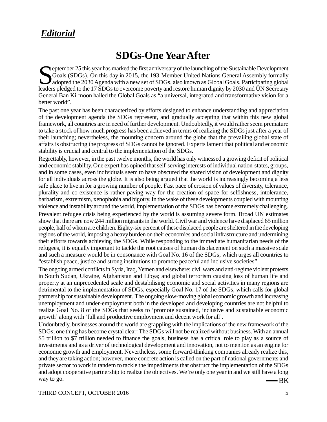# *Editorial*

# **SDGs-One Year After**

Subsequential Coals (SDGs). On this day in 2015, the 193-Member United Nations General Assembly formally adopted the 2030 Agenda with a new set of SDGs, also known as Global Goals. Participating global leaders pledged to t Goals (SDGs). On this day in 2015, the 193-Member United Nations General Assembly formally adopted the 2030 Agenda with a new set of SDGs, also known as Global Goals. Participating global leaders pledged to the 17 SDGs to overcome poverty and restore human dignity by 2030 and UN Secretary General Ban Ki-moon hailed the Global Goals as "a universal, integrated and transformative vision for a better world".

The past one year has been characterized by efforts designed to enhance understanding and appreciation of the development agenda the SDGs represent, and gradually accepting that within this new global framework, all countries are in need of further development. Undoubtedly, it would rather seem premature to take a stock of how much progress has been achieved in terms of realizing the SDGs just after a year of their launching; nevertheless, the mounting concern around the globe that the prevailing global state of affairs is obstructing the progress of SDGs cannot be ignored. Experts lament that political and economic stability is crucial and central to the implementation of the SDGs.

Regrettably, however, in the past twelve months, the world has only witnessed a growing deficit of political and economic stability. One expert has opined that self-serving interests of individual nation-states, groups, and in some cases, even individuals seem to have obscured the shared vision of development and dignity for all individuals across the globe. It is also being argued that the world is increasingly becoming a less safe place to live in for a growing number of people. Fast pace of erosion of values of diversity, tolerance, plurality and co-existence is rather paving way for the creation of space for selfishness, intolerance, barbarism, extremism, xenophobia and bigotry. In the wake of these developments coupled with mounting violence and instability around the world, implementation of the SDGs has become extremely challenging.

Prevalent refugee crisis being experienced by the world is assuming severe form. Broad UN estimates show that there are now 244 million migrants in the world. Civil war and violence have displaced 65 million people, half of whom are children. Eighty-six percent of these displaced people are sheltered in the developing regions of the world, imposing a heavy burden on their economies and social infrastructure and undermining their efforts towards achieving the SDGs. While responding to the immediate humanitarian needs of the refugees, it is equally important to tackle the root causes of human displacement on such a massive scale and such a measure would be in consonance with Goal No. 16 of the SDGs, which urges all countries to "establish peace, justice and strong institutions to promote peaceful and inclusive societies".

The ongoing armed conflicts in Syria, Iraq, Yemen and elsewhere; civil wars and anti-regime violent protests in South Sudan, Ukraine, Afghanistan and Libya; and global terrorism causing loss of human life and property at an unprecedented scale and destabilising economic and social activities in many regions are detrimental to the implementation of SDGs, especially Goal No. 17 of the SDGs, which calls for global partnership for sustainable development. The ongoing slow-moving global economic growth and increasing unemployment and under-employment both in the developed and developing countries are not helpful to realize Goal No. 8 of the SDGs that seeks to 'promote sustained, inclusive and sustainable economic growth' along with 'full and productive employment and decent work for all'.

-BK Undoubtedly, businesses around the world are grappling with the implications of the new framework of the SDGs; one thing has become crystal clear: The SDGs will not be realized without business. With an annual \$5 trillion to \$7 trillion needed to finance the goals, business has a critical role to play as a source of investments and as a driver of technological development and innovation, not to mention as an engine for economic growth and employment. Nevertheless, some forward-thinking companies already realize this, and they are taking action; however, more concrete action is called on the part of national governments and private sector to work in tandem to tackle the impediments that obstruct the implementation of the SDGs and adopt cooperative partnership to realize the objectives. We're only one year in and we still have a long way to go.

THIRD CONCEPT, OCTOBER 2016 5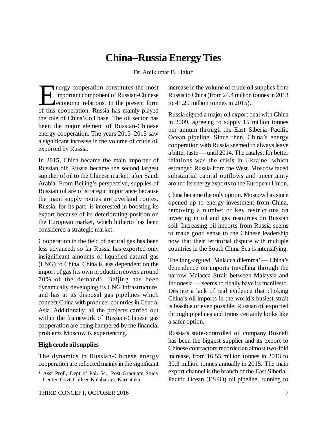# **China–Russia Energy Ties**

Dr. Anilkumar B. Halu\*

 $\prod$ <sub>of this</sub> nergy cooperation constitutes the most important component of Russian-Chinese economic relations. In the present form of this cooperation, Russia has mainly played the role of China's oil base. The oil sector has been the major element of Russian-Chinese energy cooperation. The years 2013–2015 saw a significant increase in the volume of crude oil exported by Russia.

In 2015, China became the main importer of Russian oil; Russia became the second largest supplier of oil to the Chinese market, after Saudi Arabia. From Beijing's perspective, supplies of Russian oil are of strategic importance because the main supply routes are overland routes. Russia, for its part, is interested in boosting its export because of its deteriorating position on the European market, which hitherto has been considered a strategic market.

Cooperation in the field of natural gas has been less advanced; so far Russia has exported only insignificant amounts of liquefied natural gas (LNG) to China. China is less dependent on the import of gas (its own production covers around 70% of the demand). Beijing has been dynamically developing its LNG infrastructure, and has at its disposal gas pipelines which connect China with producer countries in Central Asia. Additionally, all the projects carried out within the framework of Russian-Chinese gas cooperation are being hampered by the financial problems Moscow is experiencing.

#### **High crude oil supplies**

The dynamics in Russian-Chinese energy cooperation are reflected mainly in the significant increase in the volume of crude oil supplies from Russia to China (from 24.4 million tonnes in 2013 to 41.29 million tonnes in 2015).

Russia signed a major oil export deal with China in 2009, agreeing to supply 15 million tonnes per annum through the East Siberia–Pacific Ocean pipeline. Since then, China's energy cooperation with Russia seemed to always leave a bitter taste — until 2014. The catalyst for better relations was the crisis in Ukraine, which estranged Russia from the West. Moscow faced substantial capital outflows and uncertainty around its energy exports to the European Union.

China became the only option. Moscow has since opened up to energy investment from China, removing a number of key restrictions on investing in oil and gas resources on Russian soil. Increasing oil imports from Russia seems to make good sense to the Chinese leadership now that their territorial dispute with multiple countries in the South China Sea is intensifying.

The long-argued 'Malacca dilemma' — China's dependence on imports travelling through the narrow Malacca Strait between Malaysia and Indonesia — seems to finally have its manifesto. Despite a lack of real evidence that choking China's oil imports in the world's busiest strait is feasible or even possible, Russian oil exported through pipelines and trains certainly looks like a safer option.

Russia's state-controlled oil company Rosneft has been the biggest supplier and its export to Chinese contractors recorded an almost two-fold increase, from 16.55 million tonnes in 2013 to 30.3 million tonnes annually in 2015. The main export channel is the branch of the East Siberia– Pacific Ocean (ESPO) oil pipeline, running to

<sup>\*</sup> Asst Prof., Dept of Pol. Sc., Post Graduate Study Center, Govt. College Kalaburagi, Karnataka.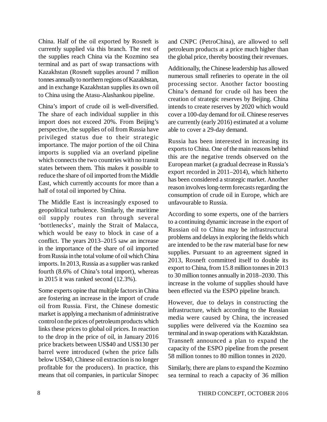China. Half of the oil exported by Rosneft is currently supplied via this branch. The rest of the supplies reach China via the Kozmino sea terminal and as part of swap transactions with Kazakhstan (Rosneft supplies around 7 million tonnes annually to northern regions of Kazakhstan, and in exchange Kazakhstan supplies its own oil to China using the Atasu-Alashankou pipeline.

China's import of crude oil is well-diversified. The share of each individual supplier in this import does not exceed 20%. From Beijing's perspective, the supplies of oil from Russia have privileged status due to their strategic importance. The major portion of the oil China imports is supplied via an overland pipeline which connects the two countries with no transit states between them. This makes it possible to reduce the share of oil imported from the Middle East, which currently accounts for more than a half of total oil imported by China.

The Middle East is increasingly exposed to geopolitical turbulence. Similarly, the maritime oil supply routes run through several 'bottlenecks', mainly the Strait of Malacca, which would be easy to block in case of a conflict. The years 2013–2015 saw an increase in the importance of the share of oil imported from Russia in the total volume of oil which China imports. In 2013, Russia as a supplier was ranked fourth (8.6% of China's total import), whereas in 2015 it was ranked second (12.3%).

Some experts opine that multiple factors in China are fostering an increase in the import of crude oil from Russia. First, the Chinese domestic market is applying a mechanism of administrative control on the prices of petroleum products which links these prices to global oil prices. In reaction to the drop in the price of oil, in January 2016 price brackets between US\$40 and US\$130 per barrel were introduced (when the price falls below US\$40, Chinese oil extraction is no longer profitable for the producers). In practice, this means that oil companies, in particular Sinopec

and CNPC (PetroChina), are allowed to sell petroleum products at a price much higher than the global price, thereby boosting their revenues.

Additionally, the Chinese leadership has allowed numerous small refineries to operate in the oil processing sector. Another factor boosting China's demand for crude oil has been the creation of strategic reserves by Beijing. China intends to create reserves by 2020 which would cover a 100-day demand for oil. Chinese reserves are currently (early 2016) estimated at a volume able to cover a 29-day demand.

Russia has been interested in increasing its exports to China. One of the main reasons behind this are the negative trends observed on the European market (a gradual decrease in Russia's export recorded in 2011–2014), which hitherto has been considered a strategic market. Another reason involves long-term forecasts regarding the consumption of crude oil in Europe, which are unfavourable to Russia.

According to some experts, one of the barriers to a continuing dynamic increase in the export of Russian oil to China may be infrastructural problems and delays in exploring the fields which are intended to be the raw material base for new supplies. Pursuant to an agreement signed in 2013, Rosneft committed itself to double its export to China, from 15.8 million tonnes in 2013 to 30 million tonnes annually in 2018–2030. This increase in the volume of supplies should have been effected via the ESPO pipeline branch.

However, due to delays in constructing the infrastructure, which according to the Russian media were caused by China, the increased supplies were delivered via the Kozmino sea terminal and in swap operations with Kazakhstan. Transneft announced a plan to expand the capacity of the ESPO pipeline from the present 58 million tonnes to 80 million tonnes in 2020.

Similarly, there are plans to expand the Kozmino sea terminal to reach a capacity of 36 million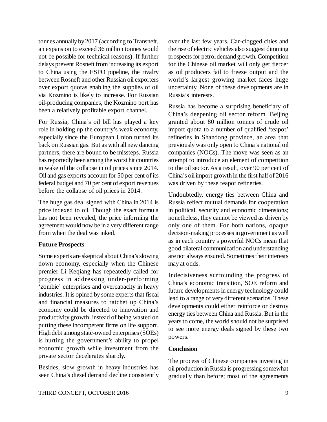tonnes annually by 2017 (according to Transneft, an expansion to exceed 36 million tonnes would not be possible for technical reasons). If further delays prevent Rosneft from increasing its export to China using the ESPO pipeline, the rivalry between Rosneft and other Russian oil exporters over export quotas enabling the supplies of oil via Kozmino is likely to increase. For Russian oil-producing companies, the Kozmino port has been a relatively profitable export channel.

For Russia, China's oil bill has played a key role in holding up the country's weak economy, especially since the European Union turned its back on Russian gas. But as with all new dancing partners, there are bound to be missteps. Russia has reportedly been among the worst hit countries in wake of the collapse in oil prices since 2014. Oil and gas exports account for 50 per cent of its federal budget and 70 per cent of export revenues before the collapse of oil prices in 2014.

The huge gas deal signed with China in 2014 is price indexed to oil. Though the exact formula has not been revealed, the price informing the agreement would now be in a very different range from when the deal was inked.

# **Future Prospects**

Some experts are skeptical about China's slowing down economy, especially when the Chinese premier Li Keqiang has repeatedly called for progress in addressing under-performing 'zombie' enterprises and overcapacity in heavy industries. It is opined by some experts that fiscal and financial measures to ratchet up China's economy could be directed to innovation and productivity growth, instead of being wasted on putting these incompetent firms on life support. High debt among state-owned enterprises (SOEs) is hurting the government's ability to propel economic growth while investment from the private sector decelerates sharply.

Besides, slow growth in heavy industries has seen China's diesel demand decline consistently over the last few years. Car-clogged cities and the rise of electric vehicles also suggest dimming prospects for petrol demand growth. Competition for the Chinese oil market will only get fiercer as oil producers fail to freeze output and the world's largest growing market faces huge uncertainty. None of these developments are in Russia's interests.

Russia has become a surprising beneficiary of China's deepening oil sector reform. Beijing granted about 80 million tonnes of crude oil import quota to a number of qualified 'teapot' refineries in Shandong province, an area that previously was only open to China's national oil companies (NOCs). The move was seen as an attempt to introduce an element of competition to the oil sector. As a result, over 90 per cent of China's oil import growth in the first half of 2016 was driven by these teapot refineries.

Undoubtedly, energy ties between China and Russia reflect mutual demands for cooperation in political, security and economic dimensions; nonetheless, they cannot be viewed as driven by only one of them. For both nations, opaque decision-making processes in government as well as in each country's powerful NOCs mean that good bilateral communication and understanding are not always ensured. Sometimes their interests may at odds.

Indecisiveness surrounding the progress of China's economic transition, SOE reform and future developments in energy technology could lead to a range of very different scenarios. These developments could either reinforce or destroy energy ties between China and Russia. But in the years to come, the world should not be surprised to see more energy deals signed by these two powers.

# **Conclusion**

The process of Chinese companies investing in oil production in Russia is progressing somewhat gradually than before; most of the agreements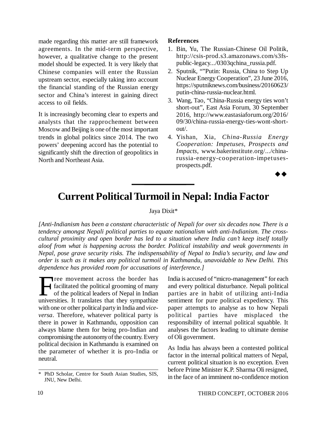made regarding this matter are still framework agreements. In the mid-term perspective, however, a qualitative change to the present model should be expected. It is very likely that Chinese companies will enter the Russian upstream sector, especially taking into account the financial standing of the Russian energy sector and China's interest in gaining direct access to oil fields.

It is increasingly becoming clear to experts and analysts that the rapprochement between Moscow and Beijing is one of the most important trends in global politics since 2014. The two powers' deepening accord has the potential to significantly shift the direction of geopolitics in North and Northeast Asia.

#### **References**

- 1. Bin, Yu, The Russian-Chinese Oil Politik, [http://csis-prod.s3.amazonaws.com/s3fs](http://csis-prod.s3.amazonaws.com/s3fs-)public-legacy.../0303qchina\_russia.pdf.
- 2. Sputnik, ""Putin: Russia, China to Step Up Nuclear Energy Cooperation", 23 June 2016, <https://sputniknews.com/business/20160623/> putin-china-russia-nuclear.html.
- 3. Wang, Tao, "China-Russia energy ties won't short-out", East Asia Forum, 30 September 2016, <http://www.eastasiaforum.org/2016/> 09/30/china-russia-energy-ties-wont-shortout/.
- 4. Yishan, Xia, *China-Russia Energy Cooperation: Impetuses, Prospects and Impacts*, [www.bakerinstitute.org/.../china](http://www.bakerinstitute.org/.../china-)russia-energy-cooperation-impetusesprospects.pdf.

 $\rightarrow \rightarrow$ 

# **Current Political Turmoil in Nepal: India Factor**

#### Jaya Dixit\*

*[Anti-Indianism has been a constant characteristic of Nepali for over six decades now. There is a tendency amongst Nepali political parties to equate nationalism with anti-Indianism. The crosscultural proximity and open border has led to a situation where India can't keep itself totally aloof from what is happening across the border. Political instability and weak governments in Nepal, pose grave security risks. The indispensability of Nepal to India's security, and law and order is such as it makes any political turmoil in Kathmandu, unavoidable to New Delhi. This dependence has provided room for accusations of interference.]*

Tree movement across the border has<br>facilitated the political grooming of many<br>of the political leaders of Nepal in Indian<br>universities. It translates that they sympathize Tree movement across the border has facilitated the political grooming of many of the political leaders of Nepal in Indian with one or other political party in India and *viceversa*. Therefore, whatever political party is there in power in Kathmandu, opposition can always blame them for being pro-Indian and compromising the autonomy of the country. Every political decision in Kathmandu is examined on the parameter of whether it is pro-India or neutral.

India is accused of "micro-management" for each and every political disturbance. Nepali political parties are in habit of utilizing anti-India sentiment for pure political expediency. This paper attempts to analyse as to how Nepali political parties have misplaced the responsibility of internal political squabble. It analyses the factors leading to ultimate demise of Oli government.

As India has always been a contested political factor in the internal political matters of Nepal, current political situation is no exception. Even before Prime Minister K.P. Sharma Oli resigned, in the face of an imminent no-confidence motion

<sup>\*</sup> PhD Scholar, Centre for South Asian Studies, SIS, JNU, New Delhi.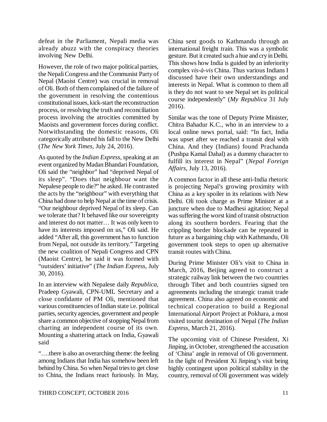defeat in the Parliament, Nepali media was already abuzz with the conspiracy theories involving New Delhi.

However, the role of two major political parties, the Nepali Congress and the Communist Party of Nepal (Maoist Centre) was crucial in removal of Oli. Both of them complained of the failure of the government in resolving the contentious constitutional issues, kick-start the reconstruction process, or resolving the truth and reconciliation process involving the atrocities committed by Maoists and government forces during conflict. Notwithstanding the domestic reasons, Oli categorically attributed his fall to the New Delhi (*The New York Times*, July 24, 2016).

As quoted by the *Indian Express*, speaking at an event organized by Madan Bhandari Foundation, Oli said the "neighbor" had "deprived Nepal of its sleep". "Does that neighbour want the Nepalese people to die?" he asked. He contrasted the acts by the "neighbour" with everything that China had done to help Nepal at the time of crisis. "Our neighbour deprived Nepal of its sleep. Can we tolerate that? It behaved like our sovereignty and interest do not matter… It was only keen to have its interests imposed on us," Oli said. He added "After all, this government has to function from Nepal, not outside its territory." Targeting the new coalition of Nepali Congress and CPN (Maoist Centre), he said it was formed with "outsiders' initiative" (*The Indian Express*, July 30, 2016).

In an interview with Nepalese daily *Republica,* Pradeep Gyawali, CPN-UML Secretary and a close confidante of PM Oli, mentioned that various constituencies of Indian state i.e. political parties, security agencies, government and people share a common objective of stopping Nepal from charting an independent course of its own. Mounting a shattering attack on India, Gyawali said

"….there is also an overarching theme: the feeling among Indians that India has somehow been left behind by China. So when Nepal tries to get close to China, the Indians react furiously. In May, China sent goods to Kathmandu through an international freight train. This was a symbolic gesture. But it created such a hue and cry in Delhi. This shows how India is guided by an inferiority complex *vis-à-vis* China. Thus various Indians I discussed have their own understandings and interests in Nepal. What is common to them all is they do not want to see Nepal set its political course independently" (*My Republica* 31 July 2016).

Similar was the tone of Deputy Prime Minister, Chitra Bahadur K.C., who in an interview to a local online news portal, said: "In fact, India was upset after we reached a transit deal with China. And they (Indians) found Prachanda (Pushpa Kamal Dahal) as a dummy character to fulfill its interest in Nepal" (*Nepal Foreign Affairs*, July 13, 2016).

A common factor in all these anti-India rhetoric is projecting Nepal's growing proximity with China as a key spoiler in its relations with New Delhi. Oli took charge as Prime Minister at a juncture when due to Madhesi agitation; Nepal was suffering the worst kind of transit obstruction along its southern borders. Fearing that the crippling border blockade can be repeated in future as a bargaining chip with Kathmandu, Oli government took steps to open up alternative transit routes with China.

During Prime Minister Oli's visit to China in March, 2016, Beijing agreed to construct a strategic railway link between the two countries through Tibet and both countries signed ten agreements including the strategic transit trade agreement. China also agreed on economic and technical cooperation to build a Regional International Airport Project at Pokhara, a most visited tourist destination of Nepal (*The Indian Express*, March 21, 2016).

The upcoming visit of Chinese President, Xi Jinping, in October, strengthened the accusation of 'China' angle in removal of Oli government. In the light of President Xi Jinping's visit being highly contingent upon political stability in the country, removal of Oli government was widely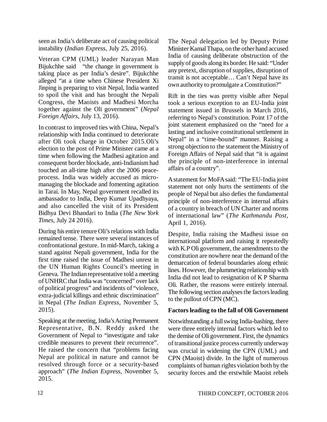seen as India's deliberate act of causing political instability (*Indian Express*, July 25, 2016).

Veteran CPM (UML) leader Narayan Man Bijukchhe said "the change in government is taking place as per India's desire". Bijukchhe alleged "at a time when Chinese President Xi Jinping is preparing to visit Nepal, India wanted to spoil the visit and has brought the Nepali Congress, the Maoists and Madhesi Morcha together against the Oli government" (*Nepal Foreign Affairs*, July 13, 2016).

In contrast to improved ties with China, Nepal's relationship with India continued to deteriorate after Oli took charge in October 2015.Oli's election to the post of Prime Minister came at a time when following the Madhesi agitation and consequent border blockade, anti-Indianism had touched an all-time high after the 2006 peaceprocess. India was widely accused as micromanaging the blockade and fomenting agitation in Tarai. In May, Nepal government recalled its ambassador to India, Deep Kumar Upadhyaya, and also cancelled the visit of its President Bidhya Devi Bhandari to India (*The New York Times*, July 24 2016).

During his entire tenure Oli's relations with India remained tense. There were several instances of confrontational gesture. In mid-March, taking a stand against Nepali government, India for the first time raised the issue of Madhesi unrest in the UN Human Rights Council's meeting in Geneva. The Indian representative told a meeting of UNHRC that India was "concerned" over lack of political progress" and incidents of "violence, extra-judicial killings and ethnic discrimination" in Nepal (*The Indian Express*, November 5, 2015).

Speaking at the meeting, India's Acting Permanent Representative, B.N. Reddy asked the Government of Nepal to "investigate and take credible measures to prevent their recurrence". He raised the concern that "problems facing Nepal are political in nature and cannot be resolved through force or a security-based approach" (*The Indian Express*, November 5, 2015.

The Nepal delegation led by Deputy Prime Minister Kamal Thapa, on the other hand accused India of causing deliberate obstruction of the supply of goods along its border. He said: "Under any pretext, disruption of supplies, disruption of transit is not acceptable… Can't Nepal have its own authority to promulgate a Constitution?"

Rift in the ties was pretty visible after Nepal took a serious exception to an EU-India joint statement issued in Brussels in March 2016, referring to Nepal's constitution. Point 17 of the joint statement emphasized on the "need for a lasting and inclusive constitutional settlement in Nepal" in a "time-bound" manner. Raising a strong objection to the statement the Ministry of Foreign Affairs of Nepal said that "it is against the principle of non-interference in internal affairs of a country".

A statement for MoFA said: "The EU-India joint statement not only hurts the sentiments of the people of Nepal but also defies the fundamental principle of non-interference in internal affairs of a country in breach of UN Charter and norms of international law" (*The Kathmandu Post,* April 1, 2016).

Despite, India raising the Madhesi issue on international platform and raising it repeatedly with K.P Oli government, the amendments to the constitution are nowhere near the demand of the demarcation of federal boundaries along ethnic lines. However, the plummeting relationship with India did not lead to resignation of K P Sharma Oli. Rather, the reasons were entirely internal. The following section analyses the factors leading to the pullout of CPN (MC).

#### **Factors leading to the fall of Oli Government**

Notwithstanding a full swing India-bashing, there were three entirely internal factors which led to the demise of Oli government. First, the dynamics of transitional justice process currently underway was crucial in widening the CPN (UML) and CPN (Maoist) divide. In the light of numerous complaints of human rights violation both by the security forces and the erstwhile Maoist rebels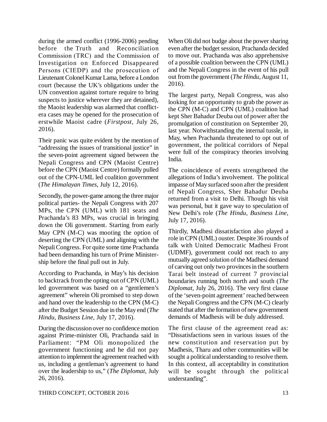during the armed conflict (1996-2006) pending before the Truth and Reconciliation Commission (TRC) and the Commission of Investigation on Enforced Disappeared Persons (CIEDP) and the prosecution of Lieutenant Colonel Kumar Lama, before a London court (because the UK's obligations under the UN convention against torture require to bring suspects to justice wherever they are detained), the Maoist leadership was alarmed that conflictera cases may be opened for the prosecution of erstwhile Maoist cadre (*Firstpost*, July 26, 2016).

Their panic was quite evident by the mention of "addressing the issues of transitional justice" in the seven-point agreement signed between the Nepali Congress and CPN (Maoist Centre) before the CPN (Maoist Centre) formally pulled out of the CPN-UML led coalition government (*The Himalayan Times*, July 12, 2016).

Secondly, the power-game among the three major political parties- the Nepali Congress with 207 MPs, the CPN (UML) with 181 seats and Prachanda's 83 MPs, was crucial in bringing down the Oli government. Starting from early May CPN (M-C) was mooting the option of deserting the CPN (UML) and aligning with the Nepali Congress. For quite some time Prachanda had been demanding his turn of Prime Ministership before the final pull out in July.

According to Prachanda, in May's his decision to backtrack from the opting out of CPN (UML) led government was based on a "gentlemen's agreement" wherein Oli promised to step down and hand over the leadership to the CPN (M-C) after the Budget Session due in the May end (*The Hindu, Business Line*, July 17, 2016).

During the discussion over no confidence motion against Prime-minister Oli, Prachanda said in Parliament: "PM Oli monopolized the government functioning and he did not pay attention to implement the agreement reached with us, including a gentleman's agreement to hand over the leadership to us," (*The Diplomat*, July 26, 2016).

When Oli did not budge about the power sharing even after the budget session, Prachanda decided to move out. Prachanda was also apprehensive of a possible coalition between the CPN (UML) and the Nepali Congress in the event of his pull out from the government (*The Hindu*, August 11, 2016).

The largest party, Nepali Congress, was also looking for an opportunity to grab the power as the CPN (M-C) and CPN (UML) coalition had kept Sher Bahadur Deuba out of power after the promulgation of constitution on September 20, last year. Notwithstanding the internal tussle, in May, when Prachanda threatened to opt out of government, the political corridors of Nepal were full of the conspiracy theories involving India.

The coincidence of events strengthened the allegations of India's involvement. The political impasse of May surfaced soon after the president of Nepali Congress, Sher Bahadur Deuba returned from a visit to Delhi. Though his visit was personal, but it gave way to speculation of New Delhi's role (*The Hindu, Business Line*, July 17, 2016).

Thirdly, Madhesi dissatisfaction also played a role in CPN (UML) ouster. Despite 36 rounds of talk with United Democratic Madhesi Front (UDMF), government could not reach to any mutually agreed solution of the Madhesi demand of carving out only two provinces in the southern Tarai belt instead of current 7 provincial boundaries running both north and south (*The Diplomat*, July 26, 2016). The very first clause of the 'seven-point agreement' reached between the Nepali Congress and the CPN (M-C) clearly stated that after the formation of new government demands of Madhesis will be duly addressed.

The first clause of the agreement read as: "Dissatisfactions seen in various issues of the new constitution and reservation put by Madhesis, Tharu and other communities will be sought a political understanding to resolve them. In this context, all acceptability in constitution will be sought through the political understanding".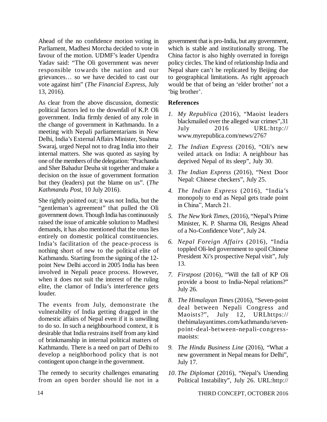Ahead of the no confidence motion voting in Parliament, Madhesi Morcha decided to vote in favour of the motion. UDMF's leader Upendra Yadav said: "The Oli government was never responsible towards the nation and our grievances… so we have decided to cast our vote against him" (*The Financial Express*, July 13, 2016).

As clear from the above discussion, domestic political factors led to the downfall of K.P. Oli government. India firmly denied of any role in the change of government in Kathmandu. In a meeting with Nepali parliamentarians in New Delhi, India's External Affairs Minister, Sushma Swaraj, urged Nepal not to drag India into their internal matters. She was quoted as saying by one of the members of the delegation: "Prachanda and Sher Bahadur Deuba sit together and make a decision on the issue of government formation but they (leaders) put the blame on us". (*The Kathmandu Post*, 10 July 2016).

She rightly pointed out; it was not India, but the "gentleman's agreement" that pulled the Oli government down. Though India has continuously raised the issue of amicable solution to Madhesi demands, it has also mentioned that the onus lies entirely on domestic political constituencies. India's facilitation of the peace-process is nothing short of new to the political elite of Kathmandu. Starting from the signing of the 12 point New Delhi accord in 2005 India has been involved in Nepali peace process. However, when it does not suit the interest of the ruling elite, the clamor of India's interference gets louder.

The events from July, demonstrate the vulnerability of India getting dragged in the domestic affairs of Nepal even if it is unwilling to do so. In such a neighbourhood context, it is desirable that India restrains itself from any kind of brinkmanship in internal political matters of Kathmandu. There is a need on part of Delhi to develop a neighborhood policy that is not contingent upon change in the government.

The remedy to security challenges emanating from an open border should lie not in a government that is pro-India, but any government, which is stable and institutionally strong. The China factor is also highly overrated in foreign policy circles. The kind of relationship India and Nepal share can't be replicated by Beijing due to geographical limitations. As right approach would be that of being an 'elder brother' not a 'big brother'.

# **References**

- *1. My Republica* (2016), "Maoist leaders blackmailed over the alleged war crimes",31 July 2016 URL:http:// [www.myrepublica.com/news/2767](http://www.myrepublica.com/news/2767)
- *2. The Indian Express* (2016), "Oli's new veiled attack on India: A neighbour has deprived Nepal of its sleep", July 30.
- *3. The Indian Express* (2016), "Next Door Nepal: Chinese checkers", July 25.
- *4. The Indian Express* (2016), "India's monopoly to end as Nepal gets trade point in China", March 21.
- *5. The New York Times*, (2016), "Nepal's Prime Minister, K. P. Sharma Oli, Resigns Ahead of a No-Confidence Vote", July 24.
- *6. Nepal Foreign Affairs* (2016), "India toppled Oli-led government to spoil Chinese President Xi's prospective Nepal visit", July 13.
- *7. Firstpost* (2016), "Will the fall of KP Oli provide a boost to India-Nepal relations?" July 26.
- *8. The Himalayan Times* (2016), "Seven-point deal between Nepali Congress and Maoists?", July 12, URLhttps:// thehimalayantimes.com/kathmandu/sevenpoint-deal-between-nepali-congressmaoists:
- *9. The Hindu Business Line* (2016), "What a new government in Nepal means for Delhi", July 17.
- *10. The Diplomat* (2016), "Nepal's Unending Political Instability", July 26. URL[:http://](http://)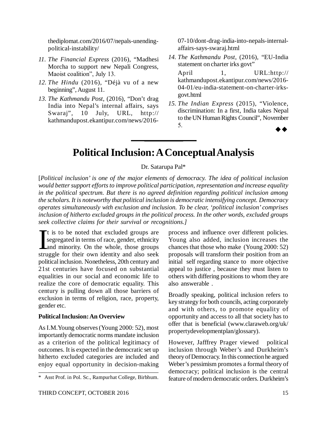thediplomat.com/2016/07/nepals-unendingpolitical-instability/

- *11. The Financial Express* (2016), "Madhesi Morcha to support new Nepali Congress, Maoist coalition", July 13.
- *12. The Hindu* (2016), "Déjà vu of a new beginning", August 11.
- *13. The Kathmandu Post*, (2016), "Don't drag India into Nepal's internal affairs, says Swaraj", 10 July, URL, http:// kathmandupost.ekantipur.com/news/2016-

07-10/dont-drag-india-into-nepals-internalaffairs-says-swaraj.html

*14. The Kathmandu Post*, (2016), "EU-India statement on charter irks govt"

April 1, URL:http:// kathmandupost.ekantipur.com/news/2016- 04-01/eu-india-statement-on-charter-irksgovt.html

*15. The Indian Express* (2015), "Violence, discrimination: In a first, India takes Nepal to the UN Human Rights Council", November  $5.$ 

# **Political Inclusion: A Conceptual Analysis**

Dr. Satarupa Pal\*

[*Political inclusion' is one of the major elements of democracy. The idea of political inclusion would better support efforts to improve political participation, representation and increase equality in the political spectrum. But there is no agreed definition regarding political inclusion among the scholars. It is noteworthy that political inclusion is democratic intensifying concept. Democracy operates simultaneously with exclusion and inclusion. To be clear, 'political inclusion' comprises inclusion of hitherto excluded groups in the political process. In the other words, excluded groups seek collective claims for their survival or recognitions.]*

 $\sum_{s}$ t is to be noted that excluded groups are segregated in terms of race, gender, ethnicity and minority. On the whole, those groups struggle for their own identity and also seek political inclusion. Nonetheless, 20th century and 21st centuries have focused on substantial equalities in our social and economic life to realize the core of democratic equality. This century is pulling down all those barriers of exclusion in terms of religion, race, property, gender etc.

# **Political Inclusion: An Overview**

As I.M.Young observes (Young 2000: 52), most importantly democratic norms mandate inclusion as a criterion of the political legitimacy of outcomes. It is expected in the democratic set up hitherto excluded categories are included and enjoy equal opportunity in decision-making

process and influence over different policies. Young also added, inclusion increases the chances that those who make (Young 2000: 52) proposals will transform their position from an initial self regarding stance to more objective appeal to justice , because they must listen to others with differing positions to whom they are also answerable .

Broadly speaking, political inclusion refers to key strategy for both councils, acting corporately and with others, to promote equality of opportunity and access to all that society has to offer that is beneficial [\(www.claraweb.org/uk/](http://www.claraweb.org/uk/) propertydevelopmentplan/glossary).

However, Jafffrey Prager viewed political inclusion through Weber's and Durkheim's theory of Democracy. In this connection he argued Weber's pessimism promotes a formal theory of democracy; political inclusion is the central feature of modern democratic orders. Durkheim's

<sup>\*</sup> Asst Prof. in Pol. Sc., Rampurhat College, Birbhum.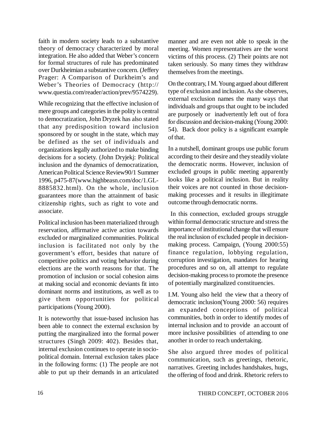faith in modern society leads to a substantive theory of democracy characterized by moral integration. He also added that Weber's concern for formal structures of rule has predominated over Durkheimian a substantive concern. (Jeffery Prager: A Comparison of Durkheim's and Weber's Theories of Democracy (http:// [www.questia.com/reader/action/prev/9574229\).](http://www.questia.com/reader/action/prev/9574229).)

While recognizing that the effective inclusion of mere groups and categories in the polity is central to democratization, John Dryzek has also stated that any predisposition toward inclusion sponsored by or sought in the state, which may be defined as the set of individuals and organizations legally authorized to make binding decisions for a society. (John Dryjekj: Political inclusion and the dynamics of democratization, American Political Science Review90/1 Summer 1996, p475-87[\(www.highbeasn.com/doc/1.GL-](http://www.highbeasn.com/doc/1.GL-)8885832.html). On the whole, inclusion guarantees more than the attainment of basic citizenship rights, such as right to vote and associate.

Political inclusion has been materialized through reservation, affirmative active action towards excluded or marginalized communities. Political inclusion is facilitated not only by the government's effort, besides that nature of competitive politics and voting behavior during elections are the worth reasons for that. The promotion of inclusion or social cohesion aims at making social and economic deviants fit into dominant norms and institutions, as well as to give them opportunities for political participations (Young 2000).

It is noteworthy that issue-based inclusion has been able to connect the external exclusion by putting the marginalized into the formal power structures (Singh 2009: 402). Besides that, internal exclusion continues to operate in sociopolitical domain. Internal exclusion takes place in the following forms: (1) The people are not able to put up their demands in an articulated manner and are even not able to speak in the meeting. Women representatives are the worst victims of this process. (2) Their points are not taken seriously. So many times they withdraw themselves from the meetings.

On the contrary, I M. Young argued about different type of exclusion and inclusion. As she observes, external exclusion names the many ways that individuals and groups that ought to be included are purposely or inadvertently left out of fora for discussion and decision-making (Young 2000: 54). Back door policy is a significant example of that.

In a nutshell, dominant groups use public forum according to their desire and they steadily violate the democratic norms. However, inclusion of excluded groups in public meeting apparently looks like a political inclusion. But in reality their voices are not counted in those decisionmaking processes and it results in illegitimate outcome through democratic norms.

 In this connection, excluded groups struggle within formal democratic structure and stress the importance of institutional change that will ensure the real inclusion of excluded people in decisionmaking process. Campaign, (Young 2000:55) finance regulation, lobbying regulation, corruption investigation, mandates for hearing procedures and so on, all attempt to regulate decision-making process to promote the presence of potentially marginalized constituencies.

I.M. Young also held the view that a theory of democratic inclusion(Young 2000: 56) requires an expanded conceptions of political communities, both in order to identify modes of internal inclusion and to provide an account of more inclusive possibilities of attending to one another in order to reach undertaking.

She also argued three modes of political communication, such as greetings, rhetoric, narratives. Greeting includes handshakes, hugs, the offering of food and drink. Rhetoric refers to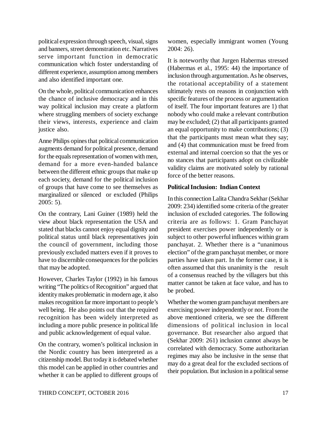political expression through speech, visual, signs and banners, street demonstration etc. Narratives serve important function in democratic communication which foster understanding of different experience, assumption among members and also identified important one.

On the whole, political communication enhances the chance of inclusive democracy and in this way political inclusion may create a platform where struggling members of society exchange their views, interests, experience and claim justice also.

Anne Philips opines that political communication augments demand for political presence, demand for the equals representation of women with men, demand for a more even-handed balance between the different ethnic groups that make up each society, demand for the political inclusion of groups that have come to see themselves as marginalized or silenced or excluded (Philips 2005: 5).

On the contrary, Lani Guiner (1989) held the view about black representation the USA and stated that blacks cannot enjoy equal dignity and political status until black representatives join the council of government, including those previously excluded matters even if it proves to have to discernible consequences for the policies that may be adopted.

However, Charles Taylor (1992) in his famous writing "The politics of Recognition" argued that identity makes problematic in modern age, it also makes recognition far more important to people's well being. He also points out that the required recognition has been widely interpreted as including a more public presence in political life and public acknowledgement of equal value.

On the contrary, women's political inclusion in the Nordic country has been interpreted as a citizenship model. But today it is debated whether this model can be applied in other countries and whether it can be applied to different groups of women, especially immigrant women (Young 2004: 26).

It is noteworthy that Jurgen Habermas stressed (Habermas et al., 1995: 44) the importance of inclusion through argumentation. As he observes, the rotational acceptability of a statement ultimately rests on reasons in conjunction with specific features of the process or argumentation of itself. The four important features are 1) that nobody who could make a relevant contribution may be excluded; (2) that all participants granted an equal opportunity to make contributions; (3) that the participants must mean what they say; and (4) that communication must be freed from external and internal coercion so that the yes or no stances that participants adopt on civilizable validity claims are motivated solely by rational force of the better reasons.

#### **Political Inclusion: Indian Context**

In this connection Lalita Chandra Sekhar (Sekhar 2009: 234) identified some criteria of the greater inclusion of excluded categories. The following criteria are as follows: 1. Gram Panchayat president exercises power independently or is subject to other powerful influences within gram panchayat. 2. Whether there is a "unanimous election" of the gram panchayat member, or more parties have taken part. In the former case, it is often assumed that this unanimity is the result of a consensus reached by the villagers but this matter cannot be taken at face value, and has to be probed.

Whether the women gram panchayat members are exercising power independently or not. From the above mentioned criteria, we see the different dimensions of political inclusion in local governance. But researcher also argued that (Sekhar 2009: 261) inclusion cannot always be correlated with democracy. Some authoritarian regimes may also be inclusive in the sense that may do a great deal for the excluded sections of their population. But inclusion in a political sense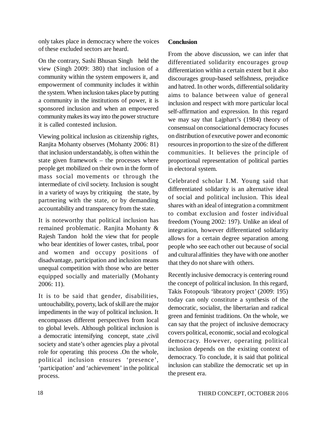only takes place in democracy where the voices of these excluded sectors are heard.

On the contrary, Sashi Bhusan Singh held the view (Singh 2009: 380) that inclusion of a community within the system empowers it, and empowerment of community includes it within the system. When inclusion takes place by putting a community in the institutions of power, it is sponsored inclusion and when an empowered community makes its way into the power structure it is called contested inclusion.

Viewing political inclusion as citizenship rights, Ranjita Mohanty observes (Mohanty 2006: 81) that inclusion understandably, is often within the state given framework – the processes where people get mobilized on their own in the form of mass social movements or through the intermediate of civil society. Inclusion is sought in a variety of ways by critiquing the state, by partnering with the state, or by demanding accountability and transparency from the state.

It is noteworthy that political inclusion has remained problematic. Ranjita Mohanty & Rajesh Tandon hold the view that for people who bear identities of lower castes, tribal, poor and women and occupy positions of disadvantage, participation and inclusion means unequal competition with those who are better equipped socially and materially (Mohanty 2006: 11).

It is to be said that gender, disabilities, untouchability, poverty, lack of skill are the major impediments in the way of political inclusion. It encompasses different perspectives from local to global levels. Although political inclusion is a democratic intensifying concept, state ,civil society and state's other agencies play a pivotal role for operating this process .On the whole, political inclusion ensures 'presence', 'participation' and 'achievement' in the political process.

# **Conclusion**

From the above discussion, we can infer that differentiated solidarity encourages group differentiation within a certain extent but it also discourages group-based selfishness, prejudice and hatred. In other words, differential solidarity aims to balance between value of general inclusion and respect with more particular local self-affirmation and expression. In this regard we may say that Lajphart's (1984) theory of consensual on consociational democracy focuses on distribution of executive power and economic resources in proportion to the size of the different communities. It believes the principle of proportional representation of political parties in electoral system.

Celebrated scholar I.M. Young said that differentiated solidarity is an alternative ideal of social and political inclusion. This ideal shares with an ideal of integration a commitment to combat exclusion and foster individual freedom (Young 2002: 197). Unlike an ideal of integration, however differentiated solidarity allows for a certain degree separation among people who see each other out because of social and cultural affinities they have with one another that they do not share with others.

Recently inclusive democracy is centering round the concept of political inclusion. In this regard, Takis Fotopouls 'libratory project' (2009: 195) today can only constitute a synthesis of the democratic, socialist, the libertarian and radical green and feminist traditions. On the whole, we can say that the project of inclusive democracy covers political, economic, social and ecological democracy. However, operating political inclusion depends on the existing context of democracy. To conclude, it is said that political inclusion can stabilize the democratic set up in the present era.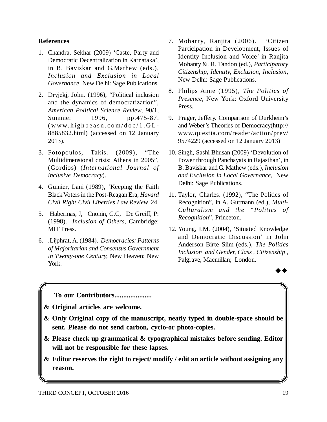### **References**

- 1. Chandra, Sekhar (2009) 'Caste, Party and Democratic Decentralization in Karnataka', in B. Baviskar and G.Mathew (eds.), *Inclusion and Exclusion in Local Governance,* New Delhi: Sage Publications.
- 2. Dryjekj, John. (1996), "Political inclusion and the dynamics of democratization", *American Political Science Review*, 90/1, Summer 1996, pp.475-87.  $(www.highbeasn.com/doc/1.GL-$ 8885832.html) (accessed on 12 January 2013).
- 3. Fotopoulos, Takis. (2009), "The Multidimensional crisis: Athens in 2005", (Gordios) (*International Journal of inclusive Democracy*).
- 4. Guinier, Lani (1989), 'Keeping the Faith Black Voters in the Post-Reagan Era, *Havard Civil Right Civil Liberties Law Review,* 24.
- 5. Habermas, J, Cnonin, C.C, De Greiff, P: (1998). *Inclusion of Others*, Cambridge: MIT Press.
- 6. .Lijphrat, A. (1984). *Democracies: Patterns of Majoritarian and Consensus Government in Twenty-one Century,* New Heaven: New York.
- 7. Mohanty, Ranjita (2006). 'Citizen Participation in Development, Issues of Identity Inclusion and Voice' in Ranjita Mohanty &. R. Tandon (ed.), *Participatory Citizenship, Identity, Exclusion, Inclusion*, New Delhi: Sage Publications.
- 8. Philips Anne (1995), *The Politics of Presence*, New York: Oxford University Press.
- 9. Prager, Jeffery. Comparison of Durkheim's and Weber's Theories of Democracy(<http://> www.questia.com/reader/action/prev/ 9574229 (accessed on 12 January 2013)
- 10. Singh, Sashi Bhusan (2009) 'Devolution of Power through Panchayats in Rajasthan', in B. Baviskar and G. Mathew (eds.), *Inclusion and Exclusion in Local Governance*, New Delhi: Sage Publications.
- 11. Taylor, Charles. (1992), "The Politics of Recognition", in A. Gutmann (ed.), *Multi-Culturalism and the "Politics of Recognition*", Princeton.
- 12. Young, I.M. (2004), 'Situated Knowledge and Democratic Discussion' in John Anderson Birte Siim (eds.), *The Politics Inclusion and Gender, Class , Citizenship* , Palgrave, Macmillan; London.



**To our Contributors.....................**

**& Original articles are welcome.**

- **& Only Original copy of the manuscript, neatly typed in double-space should be sent. Please do not send carbon, cyclo-or photo-copies.**
- **& Please check up grammatical & typographical mistakes before sending. Editor will not be responsible for these lapses.**
- **& Editor reserves the right to reject/ modify / edit an article without assigning any reason.**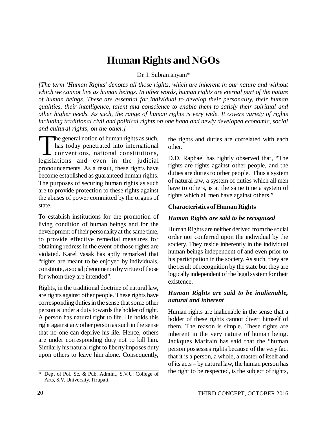# **Human Rights and NGOs**

#### Dr. I. Subramanyam\*

*[The term 'Human Rights' denotes all those rights, which are inherent in our nature and without which we cannot live as human beings. In other words, human rights are eternal part of the nature of human beings. These are essential for individual to develop their personality, their human qualities, their intelligence, talent and conscience to enable them to satisfy their spiritual and other higher needs. As such, the range of human rights is very wide. It covers variety of rights including traditional civil and political rights on one hand and newly developed economic, social and cultural rights, on the other.]*

The general notion of human rights as such,<br>has today penetrated into international<br>conventions, national constitutions,<br>legislations and even in the judicial he general notion of human rights as such, has today penetrated into international conventions, national constitutions, pronouncements. As a result, these rights have become established as guaranteed human rights. The purposes of securing human rights as such are to provide protection to these rights against the abuses of power committed by the organs of state.

To establish institutions for the promotion of living condition of human beings and for the development of their personality at the same time, to provide effective remedial measures for obtaining redress in the event of those rights are violated. Karel Vasak has aptly remarked that "rights are meant to be enjoyed by individuals, constitute, a social phenomenon by virtue of those for whom they are intended".

Rights, in the traditional doctrine of natural law, are rights against other people. These rights have corresponding duties in the sense that some other person is under a duty towards the holder of right. A person has natural right to life. He holds this right against any other person as such in the sense that no one can deprive his life. Hence, others are under corresponding duty not to kill him. Similarly his natural right to liberty imposes duty upon others to leave him alone. Consequently,

the rights and duties are correlated with each other.

D.D. Raphael has rightly observed that, "The rights are rights against other people, and the duties are duties to other people. Thus a system of natural law, a system of duties which all men have to others, is at the same time a system of rights which all men have against others."

#### **Characteristics of Human Rights**

#### *Human Rights are said to be recognized*

Human Rights are neither derived from the social order nor conferred upon the individual by the society. They reside inherently in the individual human beings independent of and even prior to his participation in the society. As such, they are the result of recognition by the state but they are logically independent of the legal system for their existence.

#### *Human Rights are said to be inalienable, natural and inherent*

Human rights are inalienable in the sense that a holder of these rights cannot divert himself of them. The reason is simple. These rights are inherent in the very nature of human being. Jackques Maritain has said that the "human person possesses rights because of the very fact that it is a person, a whole, a master of itself and of its acts – by natural law, the human person has the right to be respected, is the subject of rights,

<sup>\*</sup> Dept of Pol. Sc. & Pub. Admin., S.V.U. College of Arts, S.V. University, Tirupati.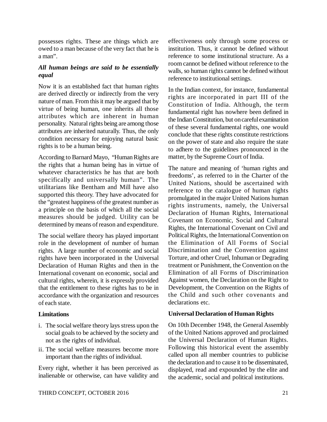possesses rights. These are things which are owed to a man because of the very fact that he is a man".

# *All human beings are said to be essentially equal*

Now it is an established fact that human rights are derived directly or indirectly from the very nature of man. From this it may be argued that by virtue of being human, one inherits all those attributes which are inherent in human personality. Natural rights being are among those attributes are inherited naturally. Thus, the only condition necessary for enjoying natural basic rights is to be a human being.

According to Barnard Mayo, "Human Rights are the rights that a human being has in virtue of whatever characteristics he has that are both specifically and universally human". The utilitarians like Bentham and Mill have also supported this theory. They have advocated for the "greatest happiness of the greatest number as a principle on the basis of which all the social measures should be judged. Utility can be determined by means of reason and expenditure.

The social welfare theory has played important role in the development of number of human rights. A large number of economic and social rights have been incorporated in the Universal Declaration of Human Rights and then in the International covenant on economic, social and cultural rights, wherein, it is expressly provided that the entitlement to these rights has to be in accordance with the organization and resources of each state.

# **Limitations**

- i. The social welfare theory lays stress upon the social goals to be achieved by the society and not as the rights of individual.
- ii. The social welfare measures become more important than the rights of individual.

Every right, whether it has been perceived as inalienable or otherwise, can have validity and effectiveness only through some process or institution. Thus, it cannot be defined without reference to some institutional structure. As a room cannot be defined without reference to the walls, so human rights cannot be defined without reference to institutional settings.

In the Indian context, for instance, fundamental rights are incorporated in part III of the Constitution of India. Although, the term fundamental right has nowhere been defined in the Indian Constitution, but on careful examination of these several fundamental rights, one would conclude that these rights constitute restrictions on the power of state and also require the state to adhere to the guidelines pronounced in the matter, by the Supreme Court of India.

The nature and meaning of 'human rights and freedoms', as referred to in the Charter of the United Nations, should be ascertained with reference to the catalogue of human rights promulgated in the major United Nations human rights instruments, namely, the Universal Declaration of Human Rights, International Covenant on Economic, Social and Cultural Rights, the International Covenant on Civil and Political Rights, the International Convention on the Elimination of All Forms of Social Discrimination and the Convention against Torture, and other Cruel, Inhuman or Degrading treatment or Punishment, the Convention on the Elimination of all Forms of Discrimination Against women, the Declaration on the Right to Development, the Convention on the Rights of the Child and such other covenants and declarations etc.

# **Universal Declaration of Human Rights**

On 10th December 1948, the General Assembly of the United Nations approved and proclaimed the Universal Declaration of Human Rights. Following this historical event the assembly called upon all member countries to publicise the declaration and to cause it to be disseminated, displayed, read and expounded by the elite and the academic, social and political institutions.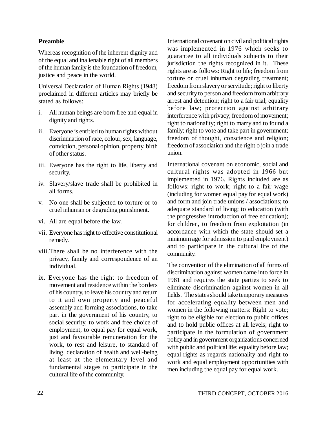### **Preamble**

Whereas recognition of the inherent dignity and of the equal and inalienable right of all members of the human family is the foundation of freedom, justice and peace in the world.

Universal Declaration of Human Rights (1948) proclaimed in different articles may briefly be stated as follows:

- i. All human beings are born free and equal in dignity and rights.
- ii. Everyone is entitled to human rights without discrimination of race, colour, sex, language, conviction, personal opinion, property, birth of other status.
- iii. Everyone has the right to life, liberty and security.
- iv. Slavery/slave trade shall be prohibited in all forms.
- v. No one shall be subjected to torture or to cruel inhuman or degrading punishment.
- vi. All are equal before the law.
- vii. Everyone has right to effective constitutional remedy.
- viii.There shall be no interference with the privacy, family and correspondence of an individual.
- ix. Everyone has the right to freedom of movement and residence within the borders of his country, to leave his country and return to it and own property and peaceful assembly and forming associations, to take part in the government of his country, to social security, to work and free choice of employment, to equal pay for equal work, just and favourable remuneration for the work, to rest and leisure, to standard of living, declaration of health and well-being at least at the elementary level and fundamental stages to participate in the cultural life of the community.

International covenant on civil and political rights was implemented in 1976 which seeks to guarantee to all individuals subjects to their jurisdiction the rights recognized in it. These rights are as follows: Right to life; freedom from torture or cruel inhuman degrading treatment; freedom from slavery or servitude; right to liberty and security to person and freedom from arbitrary arrest and detention; right to a fair trial; equality before law; protection against arbitrary interference with privacy; freedom of movement; right to nationality; right to marry and to found a family; right to vote and take part in government; freedom of thought, conscience and religion; freedom of association and the right o join a trade union.

International covenant on economic, social and cultural rights was adopted in 1966 but implemented in 1976. Rights included are as follows: right to work; right to a fair wage (including for women equal pay for equal work) and form and join trade unions / associations; to adequate standard of living; to education (with the progressive introduction of free education); for children, to freedom from exploitation (in accordance with which the state should set a minimum age for admission to paid employment) and to participate in the cultural life of the community.

The convention of the elimination of all forms of discrimination against women came into force in 1981 and requires the state parties to seek to eliminate discrimination against women in all fields. The states should take temporary measures for accelerating equality between men and women in the following matters: Right to vote; right to be eligible for election to public offices and to hold public offices at all levels; right to participate in the formulation of government policy and in government organizations concerned with public and political life; equality before law; equal rights as regards nationality and right to work and equal employment opportunities with men including the equal pay for equal work.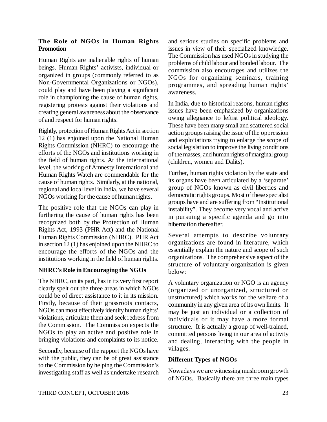### **The Role of NGOs in Human Rights Promotion**

Human Rights are inalienable rights of human beings. Human Rights' activists, individual or organized in groups (commonly referred to as Non-Governmental Organizations or NGOs), could play and have been playing a significant role in championing the cause of human rights, registering protests against their violations and creating general awareness about the observance of and respect for human rights.

Rightly, protection of Human Rights Act in section 12 (1) has enjoined upon the National Human Rights Commission (NHRC) to encourage the efforts of the NGOs and institutions working in the field of human rights. At the international level, the working of Amnesty International and Human Rights Watch are commendable for the cause of human rights. Similarly, at the national, regional and local level in India, we have several NGOs working for the cause of human rights.

The positive role that the NGOs can play in furthering the cause of human rights has been recognized both by the Protection of Human Rights Act, 1993 (PHR Act) and the National Human Rights Commission (NHRC). PHR Act in section 12 (1) has enjoined upon the NHRC to encourage the efforts of the NGOs and the institutions working in the field of human rights.

# **NHRC's Role in Encouraging the NGOs**

The NHRC, on its part, has in its very first report clearly spelt out the three areas in which NGOs could be of direct assistance to it in its mission. Firstly, because of their grassroots contacts, NGOs can most effectively identify human rights' violations, articulate them and seek redress from the Commission. The Commission expects the NGOs to play an active and positive role in bringing violations and complaints to its notice.

Secondly, because of the rapport the NGOs have with the public, they can be of great assistance to the Commission by helping the Commission's investigating staff as well as undertake research and serious studies on specific problems and issues in view of their specialized knowledge. The Commission has used NGOs in studying the problems of child labour and bonded labour. The commission also encourages and utilizes the NGOs for organizing seminars, training programmes, and spreading human rights' awareness.

In India, due to historical reasons, human rights issues have been emphasized by organizations owing allegiance to leftist political ideology. These have been many small and scattered social action groups raising the issue of the oppression and exploitations trying to enlarge the scope of social legislation to improve the living conditions of the masses, and human rights of marginal group (children, women and Dalits).

Further, human rights violation by the state and its organs have been articulated by a 'separate' group of NGOs known as civil liberties and democratic rights groups. Most of these specialist groups have and are suffering from "Institutional instability". They become very vocal and active in pursuing a specific agenda and go into hibernation thereafter.

Several attempts to describe voluntary organizations are found in literature, which essentially explain the nature and scope of such organizations. The comprehensive aspect of the structure of voluntary organization is given below:

A voluntary organization or NGO is an agency (organized or unorganized, structured or unstructured) which works for the welfare of a community in any given area of its own limits. It may be just an individual or a collection of individuals or it may have a more formal structure. It is actually a group of well-trained, committed persons living in our area of activity and dealing, interacting with the people in villages.

# **Different Types of NGOs**

Nowadays we are witnessing mushroom growth of NGOs. Basically there are three main types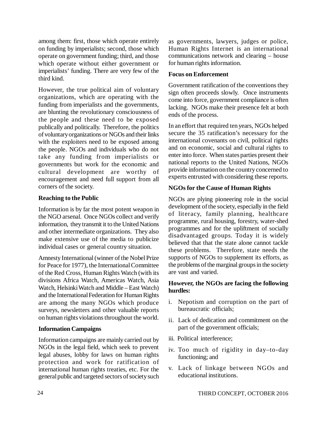among them: first, those which operate entirely on funding by imperialists; second, those which operate on government funding; third, and those which operate without either government or imperialists' funding. There are very few of the third kind.

However, the true political aim of voluntary organizations, which are operating with the funding from imperialists and the governments, are blunting the revolutionary consciousness of the people and these need to be exposed publically and politically. Therefore, the politics of voluntary organizations or NGOs and their links with the exploiters need to be exposed among the people. NGOs and individuals who do not take any funding from imperialists or governments but work for the economic and cultural development are worthy of encouragement and need full support from all corners of the society.

# **Reaching to the Public**

Information is by far the most potent weapon in the NGO arsenal. Once NGOs collect and verify information, they transmit it to the United Nations and other intermediate organizations. They also make extensive use of the media to publicize individual cases or general country situation.

Amnesty International (winner of the Nobel Prize for Peace for 1977), the International Committee of the Red Cross, Human Rights Watch (with its divisions Africa Watch, Americas Watch, Asia Watch, Helsinki Watch and Middle – East Watch) and the International Federation for Human Rights are among the many NGOs which produce surveys, newsletters and other valuable reports on human rights violations throughout the world.

# **Information Campaigns**

Information campaigns are mainly carried out by NGOs in the legal field, which seek to prevent legal abuses, lobby for laws on human rights protection and work for ratification of international human rights treaties, etc. For the general public and targeted sectors of society such as governments, lawyers, judges or police, Human Rights Internet is an international communications network and clearing – house for human rights information.

# **Focus on Enforcement**

Government ratification of the conventions they sign often proceeds slowly. Once instruments come into force, government compliance is often lacking. NGOs make their presence felt at both ends of the process.

In an effort that required ten years, NGOs helped secure the 35 ratification's necessary for the international covenants on civil, political rights and on economic, social and cultural rights to enter into force. When states parties present their national reports to the United Nations, NGOs provide information on the country concerned to experts entrusted with considering these reports.

# **NGOs for the Cause of Human Rights**

NGOs are plying pioneering role in the social development of the society, especially in the field of literacy, family planning, healthcare programme, rural housing, forestry, water-shed programmes and for the upliftment of socially disadvantaged groups. Today it is widely believed that that the state alone cannot tackle these problems. Therefore, state needs the supports of NGOs to supplement its efforts, as the problems of the marginal groups in the society are vast and varied.

# **However, the NGOs are facing the following hurdles:**

- i. Nepotism and corruption on the part of bureaucratic officials;
- ii. Lack of dedication and commitment on the part of the government officials;
- iii. Political interference;
- iv. Too much of rigidity in day–to-day functioning; and
- v. Lack of linkage between NGOs and educational institutions.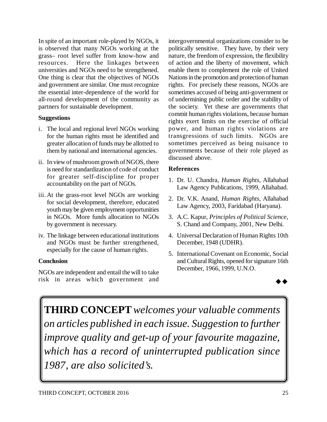In spite of an important role-played by NGOs, it is observed that many NGOs working at the grass– root level suffer from know-how and resources. Here the linkages between universities and NGOs need to be strengthened. One thing is clear that the objectives of NGOs and government are similar. One must recognize the essential inter-dependence of the world for all-round development of the community as partners for sustainable development.

### **Suggestions**

- i. The local and regional level NGOs working for the human rights must be identified and greater allocation of funds may be allotted to them by national and international agencies.
- ii. In view of mushroom growth of NGOS, there is need for standardization of code of conduct for greater self-discipline for proper accountability on the part of NGOs.
- iii. At the grass-root level NGOs are working for social development, therefore, educated youth may be given employment opportunities in NGOs. More funds allocation to NGOs by government is necessary.
- iv. The linkage between educational institutions and NGOs must be further strengthened, especially for the cause of human rights.

# **Conclusion**

NGOs are independent and entail the will to take risk in areas which government and

intergovernmental organizations consider to be politically sensitive. They have, by their very nature, the freedom of expression, the flexibility of action and the liberty of movement, which enable them to complement the role of United Nations in the promotion and protection of human rights. For precisely these reasons, NGOs are sometimes accused of being anti-government or of undermining public order and the stability of the society. Yet these are governments that commit human rights violations, because human rights exert limits on the exercise of official power, and human rights violations are transgressions of such limits. NGOs are sometimes perceived as being nuisance to governments because of their role played as discussed above.

#### **References**

- 1. Dr. U. Chandra, *Human Rights*, Allahabad Law Agency Publications, 1999, Allahabad.
- 2. Dr. V.K. Anand, *Human Rights*, Allahabad Law Agency, 2003, Faridabad (Haryana).
- 3. A.C. Kapur, *Principles of Political Science*, S. Chand and Company, 2001, New Delhi.
- 4. Universal Declaration of Human Rights 10th December, 1948 (UDHR).
- 5. International Covenant on Economic, Social and Cultural Rights, opened for signature 16th December, 1966, 1999, U.N.O.



**THIRD CONCEPT** *welcomes your valuable comments on articles published in each issue. Suggestion to further improve quality and get-up of your favourite magazine, which has a record of uninterrupted publication since 1987, are also solicited's.*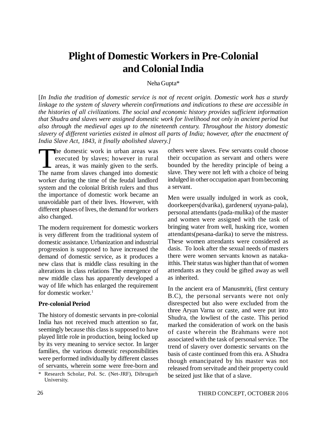# **Plight of Domestic Workers in Pre-Colonial and Colonial India**

Neha Gupta\*

[*In India the tradition of domestic service is not of recent origin. Domestic work has a sturdy linkage to the system of slavery wherein confirmations and indications to these are accessible in the histories of all civilizations. The social and economic history provides sufficient information that Shudra and slaves were assigned domestic work for livelihood not only in ancient period but also through the medieval ages up to the nineteenth century. Throughout the history domestic slavery of different varieties existed in almost all parts of India; however, after the enactment of India Slave Act, 1843, it finally abolished slavery.]*

The domestic work in urban areas was<br>executed by slaves; however in rural<br>areas, it was mainly given to the serfs.<br>The name from slaves changed into domestic he domestic work in urban areas was executed by slaves; however in rural areas, it was mainly given to the serfs. worker during the time of the feudal landlord system and the colonial British rulers and thus the importance of domestic work became an unavoidable part of their lives. However, with different phases of lives, the demand for workers also changed.

The modern requirement for domestic workers is very different from the traditional system of domestic assistance. Urbanization and industrial progression is supposed to have increased the demand of domestic service, as it produces a new class that is middle class resulting in the alterations in class relations The emergence of new middle class has apparently developed a way of life which has enlarged the requirement for domestic worker.<sup>1</sup>

#### **Pre-colonial Period**

The history of domestic servants in pre-colonial India has not received much attention so far, seemingly because this class is supposed to have played little role in production, being locked up by its very meaning to service sector. In larger families, the various domestic responsibilities were performed individually by different classes of servants, wherein some were free-born and

others were slaves. Few servants could choose their occupation as servant and others were bounded by the heredity principle of being a slave. They were not left with a choice of being indulged in other occupation apart from becoming a servant.

Men were usually indulged in work as cook, doorkeepers(dvarika), gardeners( uyyana-pala), personal attendants (pada-mulika) of the master and women were assigned with the task of bringing water from well, husking rice, women attendants(pesana-darika) to serve the mistress. These women attendants were considered as dasis. To look after the sexual needs of masters there were women servants known as natakaitthis. Their status was higher than that of women attendants as they could be gifted away as well as inherited.

In the ancient era of Manusmriti, (first century B.C), the personal servants were not only disrespected but also were excluded from the three Aryan Varna or caste, and were put into Shudra, the lowliest of the caste. This period marked the consideration of work on the basis of caste wherein the Brahmans were not associated with the task of personal service. The trend of slavery over domestic servants on the basis of caste continued from this era. A Shudra though emancipated by his master was not released from servitude and their property could be seized just like that of a slave.

<sup>\*</sup> Research Scholar, Pol. Sc. (Net-JRF), Dibrugarh University.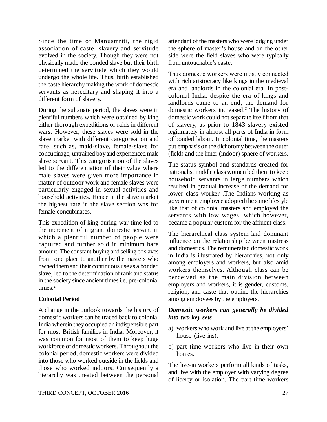Since the time of Manusmriti, the rigid association of caste, slavery and servitude evolved in the society. Though they were not physically made the bonded slave but their birth determined the servitude which they would undergo the whole life. Thus, birth established the caste hierarchy making the work of domestic servants as hereditary and shaping it into a different form of slavery.

During the sultanate period, the slaves were in plentiful numbers which were obtained by king either thorough expeditions or raids in different wars. However, these slaves were sold in the slave market with different categorisation and rate, such as, maid-slave, female-slave for concubinage, untrained boy and experienced male slave servant. This categorisation of the slaves led to the differentiation of their value where male slaves were given more importance in matter of outdoor work and female slaves were particularly engaged in sexual activities and household activities. Hence in the slave market the highest rate in the slave section was for female concubinates.

This expedition of king during war time led to the increment of migrant domestic servant in which a plentiful number of people were captured and further sold in minimum bare amount. The constant buying and selling of slaves from one place to another by the masters who owned them and their continuous use as a bonded slave, led to the determination of rank and status in the society since ancient times i.e. pre-colonial times.<sup>2</sup>

# **Colonial Period**

A change in the outlook towards the history of domestic workers can be traced back to colonial India wherein they occupied an indispensible part for most British families in India. Moreover, it was common for most of them to keep huge workforce of domestic workers. Throughout the colonial period, domestic workers were divided into those who worked outside in the fields and those who worked indoors. Consequently a hierarchy was created between the personal

attendant of the masters who were lodging under the sphere of master's house and on the other side were the field slaves who were typically from untouchable's caste.

Thus domestic workers were mostly connected with rich aristocracy like kings in the medieval era and landlords in the colonial era. In postcolonial India, despite the era of kings and landlords came to an end, the demand for domestic workers increased.<sup>3</sup> The history of domestic work could not separate itself from that of slavery, as prior to 1843 slavery existed legitimately in almost all parts of India in form of bonded labour. In colonial time, the masters put emphasis on the dichotomy between the outer (field) and the inner (indoor) sphere of workers.

The status symbol and standards created for nationalist middle class women led them to keep household servants in large numbers which resulted in gradual increase of the demand for lower class worker .The Indians working as government employee adopted the same lifestyle like that of colonial masters and employed the servants with low wages; which however, became a popular custom for the affluent class.

The hierarchical class system laid dominant influence on the relationship between mistress and domestics. The remunerated domestic work in India is illustrated by hierarchies, not only among employers and workers, but also amid workers themselves. Although class can be perceived as the main division between employers and workers, it is gender, customs, religion, and caste that outline the hierarchies among employees by the employers.

# *Domestic workers can generally be divided into two key sets*

- a) workers who work and live at the employers' house (live-ins).
- b) part-time workers who live in their own homes.

The live-in workers perform all kinds of tasks, and live with the employer with varying degree of liberty or isolation. The part time workers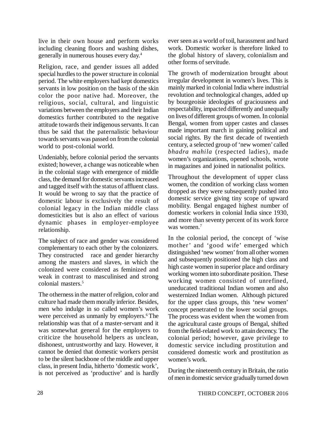live in their own house and perform works including cleaning floors and washing dishes, generally in numerous houses every day.<sup>4</sup>

Religion, race, and gender issues all added special hurdles to the power structure in colonial period. The white employers had kept domestics servants in low position on the basis of the skin color the poor native had. Moreover, the religious, social, cultural, and linguistic variations between the employers and their Indian domestics further contributed to the negative attitude towards their indigenous servants. It can thus be said that the paternalistic behaviour towards servants was passed on from the colonial world to post-colonial world.

Undeniably, before colonial period the servants existed; however, a change was noticeable when in the colonial stage with emergence of middle class, the demand for domestic servants increased and tagged itself with the status of affluent class. It would be wrong to say that the practice of domestic labour is exclusively the result of colonial legacy in the Indian middle class domesticities but is also an effect of various dynamic phases in employer-employee relationship.

The subject of race and gender was considered complementary to each other by the colonizers. They constructed race and gender hierarchy among the masters and slaves, in which the colonized were considered as feminized and weak in contrast to masculinised and strong colonial masters.<sup>5</sup>

The otherness in the matter of religion, color and culture had made them morally inferior. Besides, men who indulge in so called women's work were perceived as unmanly by employers.<sup>6</sup>The relationship was that of a master-servant and it was somewhat general for the employers to criticize the household helpers as unclean, dishonest, untrustworthy and lazy. However, it cannot be denied that domestic workers persist to be the silent backbone of the middle and upper class, in present India, hitherto 'domestic work', is not perceived as 'productive' and is hardly ever seen as a world of toil, harassment and hard work. Domestic worker is therefore linked to the global history of slavery, colonialism and other forms of servitude.

The growth of modernization brought about irregular development in women's lives. This is mainly marked in colonial India where industrial revolution and technological changes, added up by bourgeoisie ideologies of graciousness and respectability, impacted differently and unequally on lives of different groups of women. In colonial Bengal, women from upper castes and classes made important march in gaining political and social rights. By the first decade of twentieth century, a selected group of 'new women' called *bhadra mahila* (respected ladies), made women's organizations, opened schools, wrote in magazines and joined in nationalist politics.

Throughout the development of upper class women, the condition of working class women dropped as they were subsequently pushed into domestic service giving tiny scope of upward mobility. Bengal engaged highest number of domestic workers in colonial India since 1930, and more than seventy percent of its work force was women.<sup>7</sup>

In the colonial period, the concept of 'wise mother' and 'good wife' emerged which distinguished 'new women' from all other women and subsequently positioned the high class and high caste women in superior place and ordinary working women into subordinate position. These working women consisted of unrefined, uneducated traditional Indian women and also westernized Indian women. Although pictured for the upper class groups, this 'new women' concept penetrated to the lower social groups. The process was evident when the women from the agricultural caste groups of Bengal, shifted from the field-related work to attain decency. The colonial period; however, gave privilege to domestic service including prostitution and considered domestic work and prostitution as women's work.

During the nineteenth century in Britain, the ratio of men in domestic service gradually turned down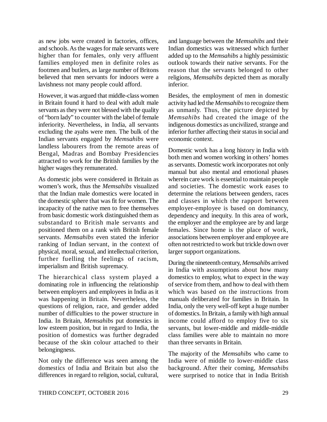as new jobs were created in factories, offices, and schools. As the wages for male servants were higher than for females, only very affluent families employed men in definite roles as footmen and butlers, as large number of Britons believed that men servants for indoors were a lavishness not many people could afford.

However, it was argued that middle-class women in Britain found it hard to deal with adult male servants as they were not blessed with the quality of "born lady" to counter with the label of female inferiority. Nevertheless, in India, all servants excluding the ayahs were men. The bulk of the Indian servants engaged by *Memsahibs* were landless labourers from the remote areas of Bengal, Madras and Bombay Presidencies attracted to work for the British families by the higher wages they remunerated.

As domestic jobs were considered in Britain as women's work, thus the *Memsahibs* visualized that the Indian male domestics were located in the domestic sphere that was fit for women. The incapacity of the native men to free themselves from basic domestic work distinguished them as substandard to British male servants and positioned them on a rank with British female servants. *Memsahibs* even stated the inferior ranking of Indian servant, in the context of physical, moral, sexual, and intellectual criterion, further fuelling the feelings of racism, imperialism and British supremacy.

The hierarchical class system played a dominating role in influencing the relationship between employers and employees in India as it was happening in Britain. Nevertheless, the questions of religion, race, and gender added number of difficulties to the power structure in India. In Britain, *Memsahibs* put domestics in low esteem position, but in regard to India, the position of domestics was further degraded because of the skin colour attached to their belongingness.

Not only the difference was seen among the domestics of India and Britain but also the differences in regard to religion, social, cultural, and language between the *Memsahibs* and their Indian domestics was witnessed which further added up to the *Memsahibs* a highly pessimistic outlook towards their native servants. For the reason that the servants belonged to other religions, *Memsahibs* depicted them as morally inferior.

Besides, the employment of men in domestic activity had led the *Memsahibs* to recognize them as unmanly. Thus, the picture depicted by *Memsahibs* had created the image of the indigenous domestics as uncivilized, strange and inferior further affecting their status in social and economic context.

Domestic work has a long history in India with both men and women working in others' homes as servants. Domestic work incorporates not only manual but also mental and emotional phases wherein care work is essential to maintain people and societies. The domestic work eases to determine the relations between genders, races and classes in which the rapport between employer-employee is based on dominancy, dependency and inequity. In this area of work, the employer and the employee are by and large females. Since home is the place of work, associations between employer and employee are often not restricted to work but trickle down over larger support organizations.

During the nineteenth century, *Memsahibs* arrived in India with assumptions about how many domestics to employ, what to expect in the way of service from them, and how to deal with them which was based on the instructions from manuals deliberated for families in Britain. In India, only the very well-off kept a huge number of domestics. In Britain, a family with high annual income could afford to employ five to six servants, but lower-middle and middle-middle class families were able to maintain no more than three servants in Britain.

The majority of the *Memsahibs* who came to India were of middle to lower-middle class background. After their coming, *Memsahibs* were surprised to notice that in India British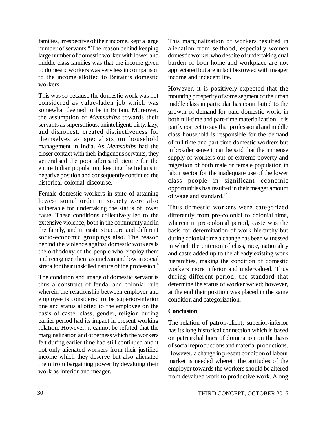families, irrespective of their income, kept a large number of servants.<sup>8</sup> The reason behind keeping large number of domestic worker with lower and middle class families was that the income given to domestic workers was very less in comparison to the income allotted to Britain's domestic workers.

This was so because the domestic work was not considered as value-laden job which was somewhat deemed to be in Britain. Moreover, the assumption of *Memsahibs* towards their servants as superstitious, unintelligent, dirty, lazy, and dishonest, created distinctiveness for themselves as specialists on household management in India. As *Memsahibs* had the closer contact with their indigenous servants, they generalised the poor aforesaid picture for the entire Indian population, keeping the Indians in negative position and consequently continued the historical colonial discourse.

Female domestic workers in spite of attaining lowest social order in society were also vulnerable for undertaking the status of lower caste. These conditions collectively led to the extensive violence, both in the community and in the family, and in caste structure and different socio-economic groupings also. The reason behind the violence against domestic workers is the orthodoxy of the people who employ them and recognize them as unclean and low in social strata for their unskilled nature of the profession.<sup>9</sup>

The condition and image of domestic servant is thus a construct of feudal and colonial rule wherein the relationship between employer and employee is considered to be superior-inferior one and status allotted to the employee on the basis of caste, class, gender, religion during earlier period had its impact in present working relation. However, it cannot be refuted that the marginalization and otherness which the workers felt during earlier time had still continued and it not only alienated workers from their justified income which they deserve but also alienated them from bargaining power by devaluing their work as inferior and meager.

This marginalization of workers resulted in alienation from selfhood, especially women domestic worker who despite of undertaking dual burden of both home and workplace are not appreciated but are in fact bestowed with meager income and indecent life.

However, it is positively expected that the mounting prosperity of some segment of the urban middle class in particular has contributed to the growth of demand for paid domestic work, in both full-time and part-time materialization. It is partly correct to say that professional and middle class household is responsible for the demand of full time and part time domestic workers but in broader sense it can be said that the immense supply of workers out of extreme poverty and migration of both male or female population in labor sector for the inadequate use of the lower class people in significant economic opportunities has resulted in their meager amount of wage and standard.<sup>10</sup>

Thus domestic workers were categorized differently from pre-colonial to colonial time, wherein in pre-colonial period, caste was the basis for determination of work hierarchy but during colonial time a change has been witnessed in which the criterion of class, race, nationality and caste added up to the already existing work hierarchies, making the condition of domestic workers more inferior and undervalued. Thus during different period, the standard that determine the status of worker varied; however, at the end their position was placed in the same condition and categorization.

# **Conclusion**

The relation of patron-client, superior-inferior has its long historical connection which is based on patriarchal lines of domination on the basis of social reproductions and material productions. However, a change in present condition of labour market is needed wherein the attitudes of the employer towards the workers should be altered from devalued work to productive work. Along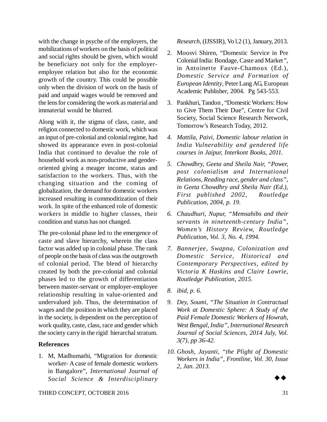with the change in psyche of the employers, the mobilizations of workers on the basis of political and social rights should be given, which would be beneficiary not only for the employeremployee relation but also for the economic growth of the country. This could be possible only when the division of work on the basis of paid and unpaid wages would be removed and the lens for considering the work as material and immaterial would be blurred.

Along with it, the stigma of class, caste, and religion connected to domestic work, which was an input of pre-colonial and colonial regime, had showed its appearance even in post-colonial India that continued to devalue the role of household work as non-productive and genderoriented giving a meager income, status and satisfaction to the workers. Thus, with the changing situation and the coming of globalization, the demand for domestic workers increased resulting in commoditization of their work. In spite of the enhanced role of domestic workers in middle to higher classes, their condition and status has not changed.

The pre-colonial phase led to the emergence of caste and slave hierarchy, wherein the class factor was added up in colonial phase. The rank of people on the basis of class was the outgrowth of colonial period. The blend of hierarchy created by both the pre-colonial and colonial phases led to the growth of differentiation between master-servant or employer-employee relationship resulting in value-oriented and undervalued job. Thus, the determination of wages and the position in which they are placed in the society, is dependent on the perception of work quality, caste, class, race and gender which the society carry in the rigid hierarchal stratum.

#### **References**

1. M, Madhumathi, "Migration for domestic worker- A case of female domestic workers in Bangalore", *International Journal of Social Science & Interdisciplinary*

*Research*, (IJSSIR), Vo l.2 (1), January, 2013.

- 2. Moosvi Shiren, "Domestic Service in Pre Colonial India: Bondage, Caste and Market*"*, in Antoinette Fauve-Chamoux (Ed.), *Domestic Service and Formation of European Identity*, Peter Lang AG, European Academic Publisher, 2004. Pg 543-553.
- 3. Pankhuri, Tandon , "Domestic Workers: How to Give Them Their Due", Centre for Civil Society, Social Science Research Network, Tomorrow's Research Today, 2012.
- *4. Mattila, Paivi, Domestic labour relation in India Vulnerability and gendered life courses in Jaipur, Interkont Books, 2011.*
- *5. Chowdhry, Geeta and Sheila Nair, "Power, post colonialism and International Relations, Reading race, gender and class", in Geeta Chowdhry and Sheila Nair (Ed.), First published 2002, Routledge Publication, 2004, p. 19.*
- *6. Chaudhuri, Nupur, "Memsahibs and their servants in nineteenth-century India", Women's History Review, Routledge Publication, Vol. 3, No. 4, 1994.*
- *7. Bannerjee, Swapna, Colonization and Domestic Service, Historical and Contemporary Perspectives, edited by Victoria K Haskins and Claire Lowrie, Routledge Publication, 2015.*
- *8. ibid, p. 6.*
- *9. Dey, Soumi, "The Situation in Contractual Work at Domestic Sphere: A Study of the Paid Female Domestic Workers of Howrah, West Bengal, India", International Research Journal of Social Sciences, 2014 July, Vol. 3(7), pp 36-42.*
- *10. Ghosh, Jayanti, "the Plight of Domestic Workers in India", Frontline, Vol. 30, Issue 2, Jan. 2013.*



THIRD CONCEPT, OCTOBER 2016 31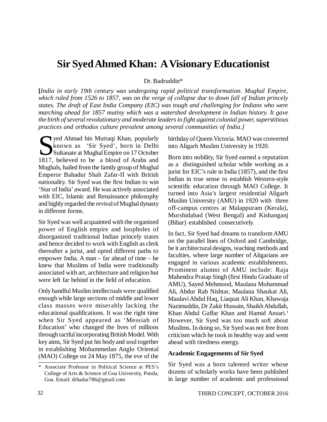# **Sir Syed Ahmed Khan: A Visionary Educationist**

Dr. Badruddin\*

**[***India in early 19th century was undergoing rapid political transformation. Mughal Empire, which ruled from 1526 to 1857, was on the verge of collapse due to down fall of Indian princely states. The draft of East India Company (EIC) was tough and challenging for Indians who were marching ahead for 1857 mutiny which was a watershed development in Indian history. It gave the birth of several revolutionary and moderate leaders to fight against colonial power, superstitious practices and orthodox culture prevalent among several communities of India.]*

Sultana bin Muttaqi Khan, popularly<br>
Sultanate at Mughal Empire on 17 October<br>
1817, believed to be a blood of Arabs and known as 'Sir Syed', born in Delhi Sultanate at Mughal Empire on 17 October 1817, believed to be a blood of Arabs and Mughals, hailed from the family group of Mughal Emperor Bahadur Shah Zafar-II with British nationality. Sir Syed was the first Indian to win 'Star of India' award. He was actively associated with EIC, Islamic and Renaissance philosophy and highly regarded the revival of Mughal dynasty in different forms.

Sir Syed was well acquainted with the organized power of English empire and loopholes of disorganized traditional Indian princely states and hence decided to work with English as clerk thereafter a jurist, and opted different paths to empower India. A man – far ahead of time – he knew that Muslims of India were traditionally associated with art, architecture and religion but were left far behind in the field of education.

Only handful Muslim intellectuals were qualified enough while large sections of middle and lower class masses were miserably lacking the educational qualifications. It was the right time when Sir Syed appeared as 'Messiah of Education' who changed the lives of millions through tactful incorporating British Model. With key aims, Sir Syed put his body and soul together in establishing Mohammedan Anglo Oriental (MAO) College on 24 May 1875, the eve of the

birthday of Queen Victoria. MAO was converted into Aligarh Muslim University in 1920.

Born into nobility, Sir Syed earned a reputation as a distinguished scholar while working as a jurist for EIC's rule in India (1857), and the first Indian in true sense to establish Western-style scientific education through MAO College. It turned into Asia's largest residential Aligarh Muslim University (AMU) in 1920 with three off-campus centres at Malappuram (Kerala), Murshidabad (West Bengal) and Kishanganj (Bihar) established consecutively.

In fact, Sir Syed had dreams to transform AMU on the parallel lines of Oxford and Cambridge, be it architectural designs, teaching methods and faculties, where large number of Aligarians are engaged in various academic establishments. Prominent alumni of AMU include: Raja Mahendra Pratap Singh (first Hindu Graduate of AMU), Sayed Mehmood, Maulana Mohammad Ali, Abdur Rab Nishtar, Maulana Shaukat Ali, Maulavi Abdul Haq, Liaquat Ali Khan, Khawaja Nazimuddin, Dr Zakir Hussain, Shaikh Abdullah, Khan Abdul Gaffar Khan and Hamid Ansari.<sup>1</sup> However, Sir Syed was too much soft about Muslims. In doing so, Sir Syed was not free from criticism which he took in healthy way and went ahead with tiredness energy.

#### **Academic Engagements of Sir Syed**

Sir Syed was a born talented writer whose dozens of scholarly works have been published in large number of academic and professional

<sup>\*</sup> Associate Professor in Political Science at PES's College of Arts & Science of Goa University, Ponda, Goa. Email: [drbadar786@gmail.com](mailto:drbadar786@gmail.com)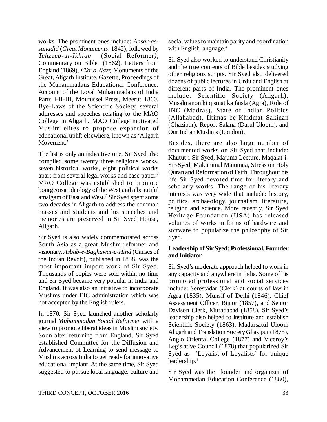works. The prominent ones include: *Ansar-assanadid* (*Great Monuments*: 1842), followed by *Tehzeeb-ul-Ikhlaq* (Social Reformer*),* Commentary on Bible (1862), Letters from England (1869), *Fikr-o-Nazr,* Monuments of the Great, Aligarh Institute, Gazette, Proceedings of the Muhammadans Educational Conference, Account of the Loyal Muhammadans of India Parts I-II-III, Moufussel Press, Meerut 1860, Bye-Laws of the Scientific Society, several addresses and speeches relating to the MAO College in Aligarh. MAO College motivated Muslim elites to propose expansion of educational uplift elsewhere, known as 'Aligarh Movement.'

The list is only an indicative one. Sir Syed also compiled some twenty three religious works, seven historical works, eight political works apart from several legal works and case paper.<sup>2</sup> MAO College was established to promote bourgeoisie ideology of the West and a beautiful amalgam of East and West.<sup>3</sup> Sir Syed spent some two decades in Aligarh to address the common masses and students and his speeches and memories are preserved in Sir Syed House, Aligarh.

Sir Syed is also widely commemorated across South Asia as a great Muslim reformer and visionary. *Asbab-e-Baghawat-e-Hind* (Causes of the Indian Revolt), published in 1858, was the most important import work of Sir Syed. Thousands of copies were sold within no time and Sir Syed became very popular in India and England. It was also an initiative to incorporate Muslims under EIC administration which was not accepted by the English rulers.

In 1870, Sir Syed launched another scholarly journal *Muhammadan Social Reformer* with a view to promote liberal ideas in Muslim society. Soon after returning from England, Sir Syed established Committee for the Diffusion and Advancement of Learning to send message to Muslims across India to get ready for innovative educational implant. At the same time, Sir Syed suggested to pursue local language, culture and

social values to maintain parity and coordination with English language.<sup>4</sup>

Sir Syed also worked to understand Christianity and the true contents of Bible besides studying other religious scripts. Sir Syed also delivered dozens of public lectures in Urdu and English at different parts of India. The prominent ones include: Scientific Society (Aligarh), Musalmanon ki qismat ka faisla (Agra), Role of INC (Madras), State of Indian Politics (Allahabad), Iltimas be Khidmat Sakinan (Ghazipur), Report Salana (Darul Uloom), and Our Indian Muslims (London).

Besides, there are also large number of documented works on Sir Syed that include: Khutut-i-Sir Syed, Majuma Lecture, Maqalat-i-Sir-Syed, Makummal Majumua, Stress on Holy Quran and Reformation of Faith. Throughout his life Sir Syed devoted time for literary and scholarly works. The range of his literary interests was very wide that include: history, politics, archaeology, journalism, literature, religion and science. More recently, Sir Syed Heritage Foundation (USA) has released volumes of works in forms of hardware and software to popularize the philosophy of Sir Syed.

### **Leadership of Sir Syed: Professional, Founder and Initiator**

Sir Syed's moderate approach helped to work in any capacity and anywhere in India. Some of his promoted professional and social services include: Serestadar (Clerk) at courts of law in Agra (1835), Munsif of Delhi (1846), Chief Assessment Officer, Bijnor (1857), and Senior Davison Clerk, Muradabad (1858). Sir Syed's leadership also helped to institute and establish Scientific Society (1863), Madarsatul Uloom Aligarh and Translation Society Ghazipur (1875), Anglo Oriental College (1877) and Viceroy's Legislative Council (1878) that popularized Sir Syed as 'Loyalist of Loyalists' for unique leadership.<sup>5</sup>

Sir Syed was the founder and organizer of Mohammedan Education Conference (1880),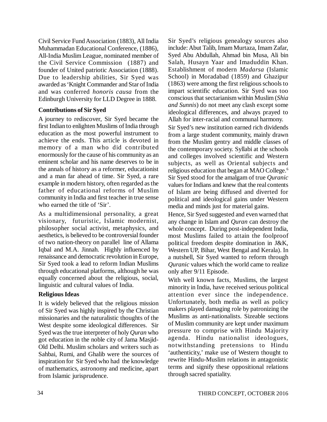Civil Service Fund Association (1883), All India Muhammadan Educational Conference, (1886), All-India Muslim League, nominated member of the Civil Service Commission (1887) and founder of United patriotic Association (1888). Due to leadership abilities, Sir Syed was awarded as 'Knight Commander and Star of India and was conferred *honoris causa* from the Edinburgh University for LLD Degree in 1888.

# **Contributions of Sir Syed**

A journey to rediscover, Sir Syed became the first Indian to enlighten Muslims of India through education as the most powerful instrument to achieve the ends. This article is devoted in memory of a man who did contributed enormously for the cause of his community as an eminent scholar and his name deserves to be in the annals of history as a reformer, educationist and a man far ahead of time. Sir Syed, a rare example in modern history, often regarded as the father of educational reforms of Muslim community in India and first teacher in true sense who earned the title of 'Sir'.

As a multidimensional personality, a great visionary, futuristic, Islamic modernist, philosopher social activist, metaphysics, and aesthetics, is believed to be controversial founder of two nation-theory on parallel line of Allama Iqbal and M.A. Jinnah. Highly influenced by renaissance and democratic revolution in Europe, Sir Syed took a lead to reform Indian Muslims through educational platforms, although he was equally concerned about the religious, social, linguistic and cultural values of India.

# **Religious Ideas**

It is widely believed that the religious mission of Sir Syed was highly inspired by the Christian missionaries and the naturalistic thoughts of the West despite some ideological differences. Sir Syed was the true interpreter of holy *Quran* who got education in the noble city of Jama Masjid-Old Delhi. Muslim scholars and writers such as Sahbai, Rumi, and Ghalib were the sources of inspiration for Sir Syed who had the knowledge of mathematics, astronomy and medicine, apart from Islamic jurisprudence.

Sir Syed's religious genealogy sources also include: Abut Talib, Imam Murtaza, Imam Zafar, Syed Abu Abdullah, Ahmad bin Musa, Ali bin Salah, Husayn Yaar and Imaduddin Khan. Establishment of modern *Madarsa* (Islamic School) in Moradabad (1859) and Ghazipur (1863) were among the first religious schools to impart scientific education. Sir Syed was too conscious that sectarianism within Muslim (*Shia and Sunnis*) do not meet any clash except some ideological differences, and always prayed to Allah for inter-racial and communal harmony.

Sir Syed's new institution earned rich dividends from a large student community, mainly drawn from the Muslim gentry and middle classes of the contemporary society. Syllabi at the schools and colleges involved scientific and Western subjects, as well as Oriental subjects and religious education that began at MAO College.<sup>6</sup> Sir Syed stood for the amalgam of true *Quranic* values for Indians and knew that the real contents of Islam are being diffused and diverted for political and ideological gains under Western media and minds just for material gains.

Hence, Sir Syed suggested and even warned that any change in Islam and *Quran* can destroy the whole concept. During post-independent India, most Muslims failed to attain the foolproof political freedom despite domination in J&K, Western UP, Bihar, West Bengal and Kerala). In a nutshell, Sir Syed wanted to reform through *Quranic* values which the world came to realize only after 9/11 Episode.

With well known facts, Muslims, the largest minority in India, have received serious political attention ever since the independence. Unfortunately, both media as well as policy makers played damaging role by patronizing the Muslims as anti-nationalists. Sizeable sections of Muslim community are kept under maximum pressure to comprise with Hindu Majority agenda. Hindu nationalist ideologues, notwithstanding pretensions to Hindu 'authenticity,' make use of Western thought to rewrite Hindu-Muslim relations in antagonistic terms and signify these oppositional relations through sacred spatiality.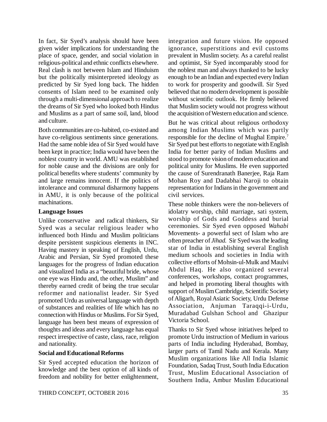In fact, Sir Syed's analysis should have been given wider implications for understanding the place of space, gender, and social violation in religious-political and ethnic conflicts elsewhere. Real clash is not between Islam and Hinduism but the politically misinterpreted ideology as predicted by Sir Syed long back. The hidden consents of Islam need to be examined only through a multi-dimensional approach to realize the dreams of Sir Syed who looked both Hindus and Muslims as a part of same soil, land, blood and culture.

Both communities are co-habited, co-existed and have co-religious sentiments since generations. Had the same noble idea of Sir Syed would have been kept in practice; India would have been the noblest country in world. AMU was established for noble cause and the divisions are only for political benefits where students' community by and large remains innocent. If the politics of intolerance and communal disharmony happens in AMU, it is only because of the political machinations.

#### **Language Issues**

Unlike conservative and radical thinkers, Sir Syed was a secular religious leader who influenced both Hindu and Muslim politicians despite persistent suspicious elements in INC. Having mastery in speaking of English, Urdu, Arabic and Persian, Sir Syed promoted these languages for the progress of Indian education and visualized India as a "beautiful bride, whose one eye was Hindu and, the other, Muslim" and thereby earned credit of being the true secular reformer and nationalist leader. Sir Syed promoted Urdu as universal language with depth of substances and realities of life which has no connection with Hindus or Muslims. For Sir Syed, language has been best means of expression of thoughts and ideas and every language has equal respect irrespective of caste, class, race, religion and nationality.

#### **Social and Educational Reforms**

Sir Syed accepted education the horizon of knowledge and the best option of all kinds of freedom and nobility for better enlightenment,

integration and future vision. He opposed ignorance, superstitions and evil customs prevalent in Muslim society. As a careful realist and optimist, Sir Syed incomparably stood for the noblest man and always thanked to be lucky enough to be an Indian and expected every Indian to work for prosperity and goodwill. Sir Syed believed that no modern development is possible without scientific outlook. He firmly believed that Muslim society would not progress without the acquisition of Western education and science.

But he was critical about religious orthodoxy among Indian Muslims which was partly responsible for the decline of Mughal Empire.<sup>7</sup> Sir Syed put best efforts to negotiate with English India for better parity of Indian Muslims and stood to promote vision of modern education and political unity for Muslims. He even supported the cause of Surendranath Banerjee, Raja Ram Mohan Roy and Dadabhai Naroji to obtain representation for Indians in the government and civil services.

These noble thinkers were the non-believers of idolatry worship, child marriage, sati system, worship of Gods and Goddess and burial ceremonies. Sir Syed even opposed *Wahabi* Movements- a powerful sect of Islam who are often preacher of *Jihad.* Sir Syed was the leading star of India in establishing several English medium schools and societies in India with collective efforts of Mohsin-ul-Mulk and Maulvi Abdul Haq. He also organized several conferences, workshops, contact programmes, and helped in promoting liberal thoughts with support of Muslim Cambridge, Scientific Society of Aligarh, Royal Asiatic Society, Urdu Defense Association, Anjuman Taraqqi-i-Urdu, Muradabad Gulshan School and Ghazipur Victoria School.

Thanks to Sir Syed whose initiatives helped to promote Urdu instruction of Medium in various parts of India including Hyderabad, Bombay, larger parts of Tamil Nadu and Kerala. Many Muslim organizations like All India Islamic Foundation, Sadaq Trust, South India Education Trust, Muslim Educational Association of Southern India, Ambur Muslim Educational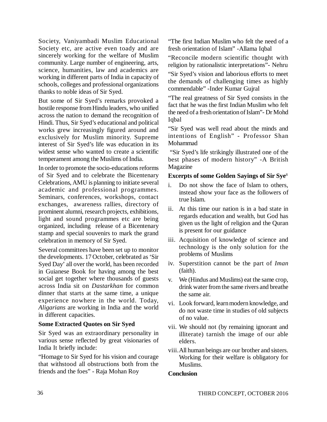Society, Vaniyambadi Muslim Educational Society etc, are active even toady and are sincerely working for the welfare of Muslim community. Large number of engineering, arts, science, humanities, law and academics are working in different parts of India in capacity of schools, colleges and professional organizations thanks to noble ideas of Sir Syed.

But some of Sir Syed's remarks provoked a hostile response from Hindu leaders, who unified across the nation to demand the recognition of Hindi. Thus, Sir Syed's educational and political works grew increasingly figured around and exclusively for Muslim minority. Supreme interest of Sir Syed's life was education in its widest sense who wanted to create a scientific temperament among the Muslims of India.

In order to promote the socio-educations reforms of Sir Syed and to celebrate the Bicentenary Celebrations, AMU is planning to initiate several academic and professional programmes. Seminars, conferences, workshops, contact exchanges, awareness rallies, directory of prominent alumni, research projects, exhibitions, light and sound programmes etc are being organized, including release of a Bicentenary stamp and special souvenirs to mark the grand celebration in memory of Sir Syed.

Several committees have been set up to monitor the developments. 17 October, celebrated as 'Sir Syed Day' all over the world, has been recorded in Guianese Book for having among the best social get together where thousands of guests across India sit on *Dastarkhan* for common dinner that starts at the same time, a unique experience nowhere in the world. Today, *Aligarians* are working in India and the world in different capacities.

#### **Some Extracted Quotes on Sir Syed**

Sir Syed was an extraordinary personality in various sense reflected by great visionaries of India It briefly include:

"Homage to Sir Syed for his vision and courage that withstood all obstructions both from the friends and the foes" - Raja Mohan Roy

"The first Indian Muslim who felt the need of a fresh orientation of Islam" -Allama Iqbal

"Reconcile modern scientific thought with religion by rationalistic interpretations"- Nehru

"Sir Syed's vision and laborious efforts to meet the demands of challenging times as highly commendable" -Inder Kumar Gujral

"The real greatness of Sir Syed consists in the fact that he was the first Indian Muslim who felt the need of a fresh orientation of Islam"- Dr Mohd **I**dbal

"Sir Syed was well read about the minds and intentions of English" - Professor Shan Mohammad

 "Sir Syed's life strikingly illustrated one of the best phases of modern history" -A British Magazine

#### **Excerpts of some Golden Sayings of Sir Sye**<sup>8</sup>

- i. Do not show the face of Islam to others, instead show your face as the followers of true Islam.
- ii. At this time our nation is in a bad state in regards education and wealth, but God has given us the light of religion and the Quran is present for our guidance
- iii. Acquisition of knowledge of science and technology is the only solution for the problems of Muslims
- iv. Superstition cannot be the part of *Iman* (faith).
- v. We (Hindus and Muslims) eat the same crop, drink water from the same rivers and breathe the same air.
- vi. Look forward, learn modern knowledge, and do not waste time in studies of old subjects of no value.
- vii. We should not (by remaining ignorant and illiterate) tarnish the image of our able elders.
- viii.All human beings are our brother and sisters. Working for their welfare is obligatory for Muslims.

#### **Conclusion**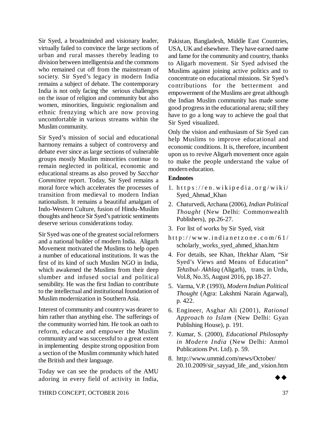Sir Syed, a broadminded and visionary leader, virtually failed to convince the large sections of urban and rural masses thereby leading to division between intelligentsia and the commons who remained cut off from the mainstream of society. Sir Syed's legacy in modern India remains a subject of debate. The contemporary India is not only facing the serious challenges on the issue of religion and community but also women, minorities, linguistic regionalism and ethnic frenzying which are now proving uncomfortable in various streams within the Muslim community.

Sir Syed's mission of social and educational harmony remains a subject of controversy and debate ever since as large sections of vulnerable groups mostly Muslim minorities continue to remain neglected in political, economic and educational streams as also proved by *Sacchar Committee* report. Today, Sir Syed remains a moral force which accelerates the processes of transition from medieval to modern Indian nationalism. It remains a beautiful amalgam of Indo-Western Culture, fusion of Hindu-Muslim thoughts and hence Sir Syed's patriotic sentiments deserve serious considerations today.

Sir Syed was one of the greatest social reformers and a national builder of modern India. Aligarh Movement motivated the Muslims to help open a number of educational institutions. It was the first of its kind of such Muslim NGO in India, which awakened the Muslims from their deep slumber and infused social and political sensibility. He was the first Indian to contribute to the intellectual and institutional foundation of Muslim modernization in Southern Asia.

Interest of community and country was dearer to him rather than anything else. The sufferings of the community worried him. He took an oath to reform, educate and empower the Muslim community and was successful to a great extent in implementing despite strong opposition from a section of the Muslim community which hated the British and their language.

Today we can see the products of the AMU adoring in every field of activity in India, Pakistan, Bangladesh, Middle East Countries, USA, UK and elsewhere. They have earned name and fame for the community and country, thanks to Aligarh movement. Sir Syed advised the Muslims against joining active politics and to concentrate on educational missions. Sir Syed's contributions for the betterment and empowerment of the Muslims are great although the Indian Muslim community has made some good progress in the educational arena; still they have to go a long way to achieve the goal that Sir Syed visualized.

Only the vision and enthusiasm of Sir Syed can help Muslims to improve educational and economic conditions. It is, therefore, incumbent upon us to revive Aligarh movement once again to make the people understand the value of modern education.

#### **Endnotes**

- 1.  $https://en.wikipedia.org/wiki/$ Syed\_Ahmad\_Khan
- 2. Chaturvedi, Archana (2006), *Indian Political Thought* (New Delhi: Commonwealth Publishers), pp.26-27.
- 3. For list of works by Sir Syed, visit
- http://www.indianetzone.com/61/ scholarly\_works\_syed\_ahmed\_khan.htm
- 4. For details, see Khan, Iftekhar Alam, "Sir Syed's Views and Means of Education" *Tehzibul- Akhlaq* (Aligarh), trans. in Urdu, Vol.8, No.35, August 2016, pp.18-27.
- 5. Varma, V.P. (1993), *Modern Indian Political Thought* (Agra: Lakshmi Narain Agarwal), p. 422.
- 6. Engineer, Asghar Ali (2001), *Rational Approach to Islam* (New Delhi: Gyan Publishing House), p. 191.
- 7. Kumar, S. (2000), *Educational Philosophy in Modern India* (New Delhi: Anmol Publications Pvt. Ltd). p. 59.
- 8. <http://www.ummid.com/news/October/> 20.10.2009/sir\_sayyad\_life\_and\_vision.htm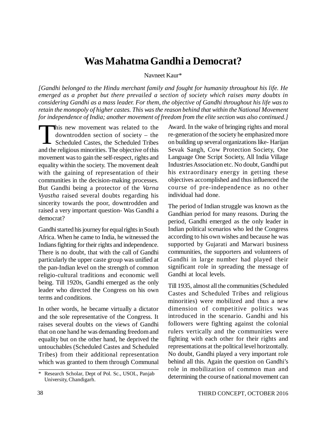# **Was Mahatma Gandhi a Democrat?**

Navneet Kaur\*

*[Gandhi belonged to the Hindu merchant family and fought for humanity throughout his life. He emerged as a prophet but there prevailed a section of society which raises many doubts in considering Gandhi as a mass leader. For them, the objective of Gandhi throughout his life was to retain the monopoly of higher castes. This was the reason behind that within the National Movement for independence of India; another movement of freedom from the elite section was also continued.]*

This new movement was related to the downtrodden section of society – the Scheduled Castes, the Scheduled Tribes and the religious minorities. The objective of this his new movement was related to the downtrodden section of society – the Scheduled Castes, the Scheduled Tribes movement was to gain the self-respect, rights and equality within the society. The movement dealt with the gaining of representation of their communities in the decision-making processes. But Gandhi being a protector of the *Varna Vyastha* raised several doubts regarding his sincerity towards the poor, downtrodden and raised a very important question- Was Gandhi a democrat?

Gandhi started his journey for equal rights in South Africa. When he came to India, he witnessed the Indians fighting for their rights and independence. There is no doubt, that with the call of Gandhi particularly the upper caste group was unified at the pan-Indian level on the strength of common religio-cultural traditions and economic well being. Till 1920s, Gandhi emerged as the only leader who directed the Congress on his own terms and conditions.

In other words, he became virtually a dictator and the sole representative of the Congress. It raises several doubts on the views of Gandhi that on one hand he was demanding freedom and equality but on the other hand, he deprived the untouchables (Scheduled Castes and Scheduled Tribes) from their additional representation which was granted to them through Communal

Award. In the wake of bringing rights and moral re-generation of the society he emphasized more on building up several organizations like- Harijan Sevak Sangh, Cow Protection Society, One Language One Script Society, All India Village Industries Association etc. No doubt, Gandhi put his extraordinary energy in getting these objectives accomplished and thus influenced the course of pre-independence as no other individual had done.

The period of Indian struggle was known as the Gandhian period for many reasons. During the period, Gandhi emerged as the only leader in Indian political scenarios who led the Congress according to his own wishes and because he was supported by Gujarati and Marwari business communities, the supporters and volunteers of Gandhi in large number had played their significant role in spreading the message of Gandhi at local levels.

Till 1935, almost all the communities (Scheduled Castes and Scheduled Tribes and religious minorities) were mobilized and thus a new dimension of competitive politics was introduced in the scenario. Gandhi and his followers were fighting against the colonial rulers vertically and the communities were fighting with each other for their rights and representations at the political level horizontally. No doubt, Gandhi played a very important role behind all this. Again the question on Gandhi's role in mobilization of common man and determining the course of national movement can

<sup>\*</sup> Research Scholar, Dept of Pol. Sc., USOL, Panjab University, Chandigarh.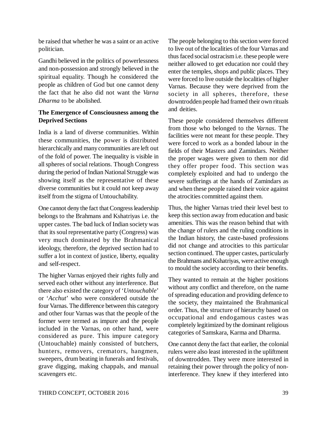be raised that whether he was a saint or an active politician.

Gandhi believed in the politics of powerlessness and non-possession and strongly believed in the spiritual equality. Though he considered the people as children of God but one cannot deny the fact that he also did not want the *Varna Dharma* to be abolished.

# **The Emergence of Consciousness among the Deprived Sections**

India is a land of diverse communities. Within these communities, the power is distributed hierarchically and many communities are left out of the fold of power. The inequality is visible in all spheres of social relations. Though Congress during the period of Indian National Struggle was showing itself as the representative of these diverse communities but it could not keep away itself from the stigma of Untouchability.

One cannot deny the fact that Congress leadership belongs to the Brahmans and Kshatriyas i.e. the upper castes. The bad luck of Indian society was that its soul representative party (Congress) was very much dominated by the Brahmanical ideology, therefore, the deprived section had to suffer a lot in context of justice, liberty, equality and self-respect.

The higher Varnas enjoyed their rights fully and served each other without any interference. But there also existed the category of '*Untouchable*' or '*Acchut*' who were considered outside the four Varnas. The difference between this category and other four Varnas was that the people of the former were termed as impure and the people included in the Varnas, on other hand, were considered as pure. This impure category (Untouchable) mainly consisted of butchers, hunters, removers, cremators, hangmen, sweepers, drum beating in funerals and festivals, grave digging, making chappals, and manual scavengers etc.

The people belonging to this section were forced to live out of the localities of the four Varnas and thus faced social ostracism i.e. these people were neither allowed to get education nor could they enter the temples, shops and public places. They were forced to live outside the localities of higher Varnas. Because they were deprived from the society in all spheres, therefore, these downtrodden people had framed their own rituals and deities.

These people considered themselves different from those who belonged to the *Varnas*. The facilities were not meant for these people. They were forced to work as a bonded labour in the fields of their Masters and Zamindars. Neither the proper wages were given to them nor did they offer proper food. This section was completely exploited and had to undergo the severe sufferings at the hands of Zamindars as and when these people raised their voice against the atrocities committed against them.

Thus, the higher Varnas tried their level best to keep this section away from education and basic amenities. This was the reason behind that with the change of rulers and the ruling conditions in the Indian history, the caste-based professions did not change and atrocities to this particular section continued. The upper castes, particularly the Brahmans and Kshatriyas, were active enough to mould the society according to their benefits.

They wanted to remain at the higher positions without any conflict and therefore, on the name of spreading education and providing defence to the society, they maintained the Brahmanical order. Thus, the structure of hierarchy based on occupational and endogamous castes was completely legitimized by the dominant religious categories of Samskara, Karma and Dharma.

One cannot deny the fact that earlier, the colonial rulers were also least interested in the upliftment of downtrodden. They were more interested in retaining their power through the policy of noninterference. They knew if they interfered into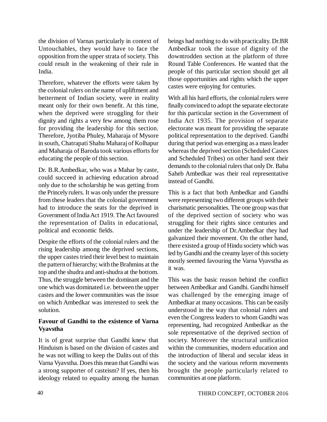the division of Varnas particularly in context of Untouchables, they would have to face the opposition from the upper strata of society. This could result in the weakening of their rule in India.

Therefore, whatever the efforts were taken by the colonial rulers on the name of upliftment and betterment of Indian society, were in reality meant only for their own benefit. At this time, when the deprived were struggling for their dignity and rights a very few among them rose for providing the leadership for this section. Therefore, Jyotiba Phuley, Maharaja of Mysore in south, Chatrapati Shahu Maharaj of Kolhapur and Maharaja of Baroda took various efforts for educating the people of this section.

Dr. B.R.Ambedkar, who was a Mahar by caste, could succeed in achieving education abroad only due to the scholarship he was getting from the Princely rulers. It was only under the pressure from these leaders that the colonial government had to introduce the seats for the deprived in Government of India Act 1919. The Act favoured the representation of Dalits in educational, political and economic fields.

Despite the efforts of the colonial rulers and the rising leadership among the deprived sections, the upper castes tried their level best to maintain the pattern of hierarchy; with the Brahmins at the top and the shudra and anti-shudra at the bottom. Thus, the struggle between the dominant and the one which was dominated i.e. between the upper castes and the lower communities was the issue on which Ambedkar was interested to seek the solution.

# **Favour of Gandhi to the existence of Varna Vyavstha**

It is of great surprise that Gandhi knew that Hinduism is based on the division of castes and he was not willing to keep the Dalits out of this Varna Vyavstha. Does this mean that Gandhi was a strong supporter of casteism? If yes, then his ideology related to equality among the human

beings had nothing to do with practicality. Dr.BR Ambedkar took the issue of dignity of the downtrodden section at the platform of three Round Table Conferences. He wanted that the people of this particular section should get all those opportunities and rights which the upper castes were enjoying for centuries.

With all his hard efforts, the colonial rulers were finally convinced to adopt the separate electorate for this particular section in the Government of India Act 1935. The provision of separate electorate was meant for providing the separate political representation to the deprived. Gandhi during that period was emerging as a mass leader whereas the deprived section (Scheduled Castes and Scheduled Tribes) on other hand sent their demands to the colonial rulers that only Dr. Baba Saheb Ambedkar was their real representative instead of Gandhi.

This is a fact that both Ambedkar and Gandhi were representing two different groups with their charismatic personalities. The one group was that of the deprived section of society who was struggling for their rights since centuries and under the leadership of Dr.Ambedkar they had galvanized their movement. On the other hand, there existed a group of Hindu society which was led by Gandhi and the creamy layer of this society mostly seemed favouring the Varna Vyavstha as it was.

This was the basic reason behind the conflict between Ambedkar and Gandhi. Gandhi himself was challenged by the emerging image of Ambedkar at many occasions. This can be easily understood in the way that colonial rulers and even the Congress leaders to whom Gandhi was representing, had recognized Ambedkar as the sole representative of the deprived section of society. Moreover the structural unification within the communities, modern education and the introduction of liberal and secular ideas in the society and the various reform movements brought the people particularly related to communities at one platform.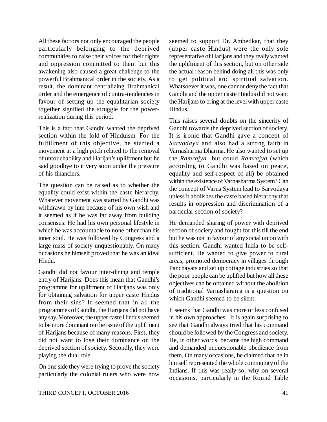All these factors not only encouraged the people particularly belonging to the deprived communities to raise their voices for their rights and oppression committed to them but this awakening also caused a great challenge to the powerful Brahmanical order in the society. As a result, the dominant centralizing Brahmanical order and the emergence of contra-tendencies in favour of setting up the equalitarian society together signified the struggle for the powerrealization during this period.

This is a fact that Gandhi wanted the deprived section within the fold of Hinduism. For the fulfillment of this objective, he started a movement at a high pitch related to the removal of untouchability and Harijan's upliftment but he said goodbye to it very soon under the pressure of his financiers.

The question can be raised as to whether the equality could exist within the caste hierarchy. Whatever movement was started by Gandhi was withdrawn by him because of his own wish and it seemed as if he was far away from building consensus. He had his own personal lifestyle in which he was accountable to none other than his inner soul. He was followed by Congress and a large mass of society unquestionably. On many occasions he himself proved that he was an ideal Hindu.

Gandhi did not favour inter-dining and temple entry of Harijans. Does this mean that Gandhi's programme for upliftment of Harijans was only for obtaining salvation for upper caste Hindus from their sins? It seemed that in all the programmes of Gandhi, the Harijans did not have any say. Moreover, the upper caste Hindus seemed to be more dominant on the issue of the upliftment of Harijans because of many reasons. First, they did not want to lose their dominance on the deprived section of society. Secondly, they were playing the dual role.

On one side they were trying to prove the society particularly the colonial rulers who were now

seemed to support Dr. Ambedkar, that they (upper caste Hindus) were the only sole representative of Harijans and they really wanted the upliftment of this section, but on other side the actual reason behind doing all this was only to get political and spiritual salvation. Whatsoever it was, one cannot deny the fact that Gandhi and the upper caste Hindus did not want the Harijans to bring at the level with upper caste Hindus.

This raises several doubts on the sincerity of Gandhi towards the deprived section of society. It is ironic that Gandhi gave a concept of *Sarvodaya* and also had a strong faith in Varnasharma Dharma. He also wanted to set up the *Ramrajya* but could *Ramrajya* (which according to Gandhi was based on peace, equality and self-respect of all) be obtained within the existence of Varnasharma System? Can the concept of Varna System lead to Sarvodaya unless it abolishes the caste based hierarchy that results in oppression and discrimination of a particular section of society?

He demanded sharing of power with deprived section of society and fought for this till the end but he was not in favour of any social union with this section. Gandhi wanted India to be selfsufficient. He wanted to give power to rural areas, promoted democracy in villages through Panchayats and set up cottage industries so that the poor people can be uplifted but how all these objectives can be obtained without the abolition of traditional Varnasharama is a question on which Gandhi seemed to be silent.

It seems that Gandhi was more or less confused in his own approaches. It is again surprising to see that Gandhi always tried that his command should be followed by the Congress and society. He, in other words, became the high command and demanded unquestionable obedience from them. On many occasions, he claimed that he in himself represented the whole community of the Indians. If this was really so, why on several occasions, particularly in the Round Table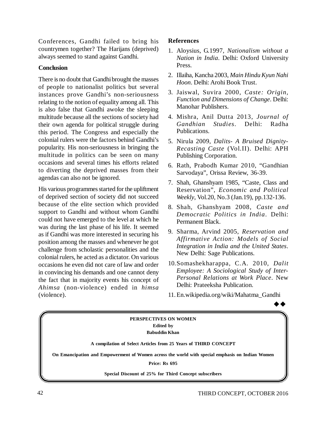Conferences, Gandhi failed to bring his countrymen together? The Harijans (deprived) always seemed to stand against Gandhi.

### **Conclusion**

There is no doubt that Gandhi brought the masses of people to nationalist politics but several instances prove Gandhi's non-seriousness relating to the notion of equality among all. This is also false that Gandhi awoke the sleeping multitude because all the sections of society had their own agenda for political struggle during this period. The Congress and especially the colonial rulers were the factors behind Gandhi's popularity. His non-seriousness in bringing the multitude in politics can be seen on many occasions and several times his efforts related to diverting the deprived masses from their agendas can also not be ignored.

His various programmes started for the upliftment of deprived section of society did not succeed because of the elite section which provided support to Gandhi and without whom Gandhi could not have emerged to the level at which he was during the last phase of his life. It seemed as if Gandhi was more interested in securing his position among the masses and whenever he got challenge from scholastic personalities and the colonial rulers, he acted as a dictator. On various occasions he even did not care of law and order in convincing his demands and one cannot deny the fact that in majority events his concept of *Ahimsa* (non-violence) ended in *himsa* (violence).

# **References**

- 1. Aloysius, G.1997, *Nationalism without a Nation in India*. Delhi: Oxford University Press.
- 2. Illaiha, Kancha 2003, *Main Hindu Kyun Nahi Hoon*. Delhi: Arohi Book Trust.
- 3. Jaiswal, Suvira 2000, *Caste: Origin, Function and Dimensions of Change*. Delhi: Manohar Publishers.
- 4. Mishra, Anil Dutta 2013, *Journal of Gandhian Studies*. Delhi: Radha Publications.
- 5. Nirula 2009, *Dalits- A Bruised Dignity-Recasting Caste* (Vol.II). Delhi: APH Publishing Corporation.
- 6. Rath, Prabodh Kumar 2010, "Gandhian Sarvodaya", Orissa Review, 36-39.
- 7. Shah, Ghanshyam 1985, "Caste, Class and Reservation", *Economic and Political Weekly*, Vol.20, No.3 (Jan.19), pp.132-136.
- 8. Shah, Ghanshyam 2008, *Caste and Democratic Politics in India*. Delhi: Permanent Black.
- 9. Sharma, Arvind 2005, *Reservation and Affirmative Action: Models of Social Integration in India and the United States*. New Delhi: Sage Publications.
- 10.Somashekharappa, C.A. 2010, *Dalit Employee: A Sociological Study of Inter-Personal Relations at Work Place*. New Delhi: Prateeksha Publication.
- 11.En.wikipedia.org/wiki/Mahatma\_Gandhi

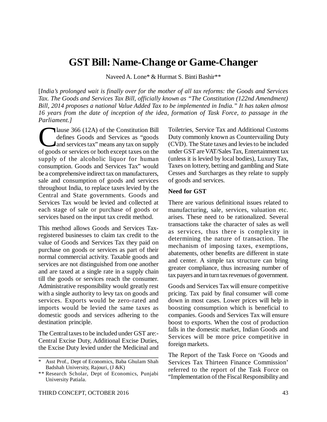# **GST Bill: Name-Change or Game-Changer**

Naveed A. Lone\* & Hurmat S. Binti Bashir\*\*

[*India's prolonged wait is finally over for the mother of all tax reforms: the Goods and Services Tax. The Goods and Services Tax Bill, officially known as "The Constitution (122nd Amendment) Bill, 2014 proposes a national Value Added Tax to be implemented in India." It has taken almost 16 years from the date of inception of the idea, formation of Task Force, to passage in the Parliament.]*

Iause 366 (12A) of the Constitution Bill<br>defines Goods and Services as "goods<br>and services tax" means any tax on supply<br>of goods or services or both except taxes on the lause 366 (12A) of the Constitution Bill defines Goods and Services as "goods and services tax" means any tax on supply supply of the alcoholic liquor for human consumption. Goods and Services Tax" would be a comprehensive indirect tax on manufacturers, sale and consumption of goods and services throughout India, to replace taxes levied by the Central and State governments. Goods and Services Tax would be levied and collected at each stage of sale or purchase of goods or services based on the input tax credit method.

This method allows Goods and Services Taxregistered businesses to claim tax credit to the value of Goods and Services Tax they paid on purchase on goods or services as part of their normal commercial activity. Taxable goods and services are not distinguished from one another and are taxed at a single rate in a supply chain till the goods or services reach the consumer. Administrative responsibility would greatly rest with a single authority to levy tax on goods and services. Exports would be zero-rated and imports would be levied the same taxes as domestic goods and services adhering to the destination principle.

The Central taxes to be included under GST are:- Central Excise Duty, Additional Excise Duties, the Excise Duty levied under the Medicinal and Toiletries, Service Tax and Additional Customs Duty commonly known as Countervailing Duty (CVD). The State taxes and levies to be included under GST are VAT/Sales Tax, Entertainment tax (unless it is levied by local bodies), Luxury Tax, Taxes on lottery, betting and gambling and State Cesses and Surcharges as they relate to supply of goods and services.

#### **Need for GST**

There are various definitional issues related to manufacturing, sale, services, valuation etc. arises. These need to be rationalized. Several transactions take the character of sales as well as services, thus there is complexity in determining the nature of transaction. The mechanism of imposing taxes, exemptions, abatements, other benefits are different in state and center. A simple tax structure can bring greater compliance, thus increasing number of tax payers and in turn tax revenues of government.

Goods and Services Tax will ensure competitive pricing. Tax paid by final consumer will come down in most cases. Lower prices will help in boosting consumption which is beneficial to companies. Goods and Services Tax will ensure boost to exports. When the cost of production falls in the domestic market, Indian Goods and Services will be more price competitive in foreign markets.

The Report of the Task Force on 'Goods and Services Tax Thirteen Finance Commission' referred to the report of the Task Force on "Implementation of the Fiscal Responsibility and

Asst Prof., Dept of Economics, Baba Ghulam Shah Badshah University, Rajouri, (J &K)

<sup>\*\*</sup> Research Scholar, Dept of Economics, Punjabi University Patiala.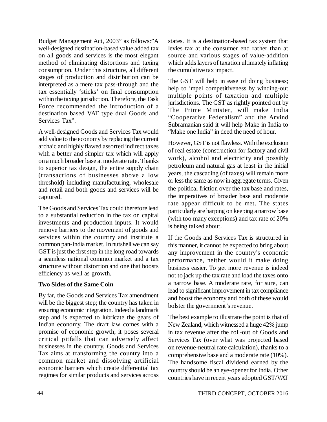Budget Management Act, 2003" as follows:"A well-designed destination-based value added tax on all goods and services is the most elegant method of eliminating distortions and taxing consumption. Under this structure, all different stages of production and distribution can be interpreted as a mere tax pass-through and the tax essentially 'sticks' on final consumption within the taxing jurisdiction. Therefore, the Task Force recommended the introduction of a destination based VAT type dual Goods and Services Tax".

A well-designed Goods and Services Tax would add value to the economy by replacing the current archaic and highly flawed assorted indirect taxes with a better and simpler tax which will apply on a much broader base at moderate rate. Thanks to superior tax design, the entire supply chain (transactions of businesses above a low threshold) including manufacturing, wholesale and retail and both goods and services will be captured.

The Goods and Services Tax could therefore lead to a substantial reduction in the tax on capital investments and production inputs. It would remove barriers to the movement of goods and services within the country and institute a common pan-India market. In nutshell we can say GST is just the first step in the long road towards a seamless national common market and a tax structure without distortion and one that boosts efficiency as well as growth.

# **Two Sides of the Same Coin**

By far, the Goods and Services Tax amendment will be the biggest step; the country has taken in ensuring economic integration. Indeed a landmark step and is expected to lubricate the gears of Indian economy. The draft law comes with a promise of economic growth; it poses several critical pitfalls that can adversely affect businesses in the country. Goods and Services Tax aims at transforming the country into a common market and dissolving artificial economic barriers which create differential tax regimes for similar products and services across

states. It is a destination-based tax system that levies tax at the consumer end rather than at source and various stages of value-addition which adds layers of taxation ultimately inflating the cumulative tax impact.

The GST will help in ease of doing business; help to impel competitiveness by winding-out multiple points of taxation and multiple jurisdictions. The GST as rightly pointed out by The Prime Minister, will make India "Cooperative Federalism" and the Arvind Subramanian said it will help Make in India to "Make one India" in deed the need of hour.

However, GST is not flawless. With the exclusion of real estate (construction for factory and civil work), alcohol and electricity and possibly petroleum and natural gas at least in the initial years, the cascading (of taxes) will remain more or less the same as now in aggregate terms. Given the political friction over the tax base and rates, the imperatives of broader base and moderate rate appear difficult to be met. The states particularly are harping on keeping a narrow base (with too many exceptions) and tax rate of 20% is being talked about.

If the Goods and Services Tax is structured in this manner, it cannot be expected to bring about any improvement in the country's economic performance, neither would it make doing business easier. To get more revenue is indeed not to jack up the tax rate and load the taxes onto a narrow base. A moderate rate, for sure, can lead to significant improvement in tax compliance and boost the economy and both of these would bolster the government's revenue.

The best example to illustrate the point is that of New Zealand, which witnessed a huge 42% jump in tax revenue after the roll-out of Goods and Services Tax (over what was projected based on revenue-neutral rate calculation), thanks to a comprehensive base and a moderate rate (10%). The handsome fiscal dividend earned by the country should be an eye-opener for India. Other countries have in recent years adopted GST/VAT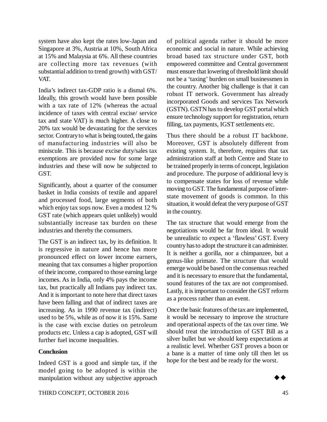system have also kept the rates low-Japan and Singapore at 3%, Austria at 10%, South Africa at 15% and Malaysia at 6%. All these countries are collecting more tax revenues (with substantial addition to trend growth) with GST/ VAT.

India's indirect tax-GDP ratio is a dismal 6%. Ideally, this growth would have been possible with a tax rate of 12% (whereas the actual incidence of taxes with central excise/ service tax and state VAT) is much higher. A close to 20% tax would be devastating for the services sector. Contrary to what is being touted, the gains of manufacturing industries will also be miniscule. This is because excise duty/sales tax exemptions are provided now for some large industries and these will now be subjected to GST.

Significantly, about a quarter of the consumer basket in India consists of textile and apparel and processed food, large segments of both which enjoy tax sops now. Even a modest 12 % GST rate (which appears quiet unlikely) would substantially increase tax burden on these industries and thereby the consumers.

The GST is an indirect tax, by its definition. It is regressive in nature and hence has more pronounced effect on lower income earners, meaning that tax consumes a higher proportion of their income, compared to those earning large incomes. As in India, only 4% pays the income tax, but practically all Indians pay indirect tax. And it is important to note here that direct taxes have been falling and that of indirect taxes are increasing. As in 1990 revenue tax (indirect) used to be 5%, while as of now it is 15%. Same is the case with excise duties on petroleum products etc. Unless a cap is adopted, GST will further fuel income inequalities.

#### **Conclusion**

Indeed GST is a good and simple tax, if the model going to be adopted is within the manipulation without any subjective approach

of political agenda rather it should be more economic and social in nature. While achieving broad based tax structure under GST, both empowered committee and Central government must ensure that lowering of threshold limit should not be a 'taxing' burden on small businessmen in the country. Another big challenge is that it can robust IT network. Government has already incorporated Goods and services Tax Network (GSTN). GSTN has to develop GST portal which ensure technology support for registration, return filling, tax payments, IGST settlements etc.

Thus there should be a robust IT backbone. Moreover, GST is absolutely different from existing system. It, therefore, requires that tax administration staff at both Centre and State to be trained properly in terms of concept, legislation and procedure. The purpose of additional levy is to compensate states for loss of revenue while moving to GST. The fundamental purpose of interstate movement of goods is common. In this situation, it would defeat the very purpose of GST in the country.

The tax structure that would emerge from the negotiations would be far from ideal. It would be unrealistic to expect a 'flawless' GST. Every country has to adopt the structure it can administer. It is neither a gorilla, nor a chimpanzee, but a genus-like primate. The structure that would emerge would be based on the consensus reached and it is necessary to ensure that the fundamental, sound features of the tax are not compromised. Lastly, it is important to consider the GST reform as a process rather than an event.

Once the basic features of the tax are implemented, it would be necessary to improve the structure and operational aspects of the tax over time. We should treat the introduction of GST Bill as a silver bullet but we should keep expectations at a realistic level. Whether GST proves a boon or a bane is a matter of time only till then let us hope for the best and be ready for the worst.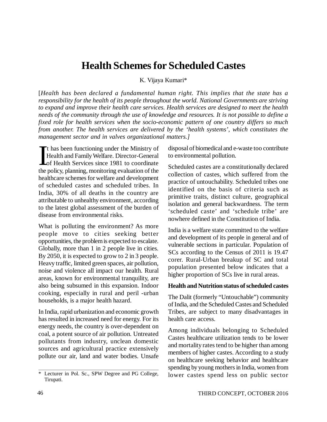# **Health Schemes for Scheduled Castes**

K. Vijaya Kumari\*

[*Health has been declared a fundamental human right. This implies that the state has a responsibility for the health of its people throughout the world. National Governments are striving to expand and improve their health care services. Health services are designed to meet the health needs of the community through the use of knowledge and resources. It is not possible to define a fixed role for health services when the socio-economic pattern of one country differs so much from another. The health services are delivered by the 'health systems', which constitutes the management sector and in valves organizational matters.]*

 $\prod_{\text{the }i}$ t has been functioning under the Ministry of Health and Family Welfare. Director-General of Health Services since 1981 to coordinate the policy, planning, monitoring evaluation of the healthcare schemes for welfare and development of scheduled castes and scheduled tribes. In India, 30% of all deaths in the country are attributable to unhealthy environment, according to the latest global assessment of the burden of disease from environmental risks.

What is polluting the environment? As more people move to cities seeking better opportunities, the problem is expected to escalate. Globally, more than 1 in 2 people live in cities. By 2050, it is expected to grow to 2 in 3 people. Heavy traffic, limited green spaces, air pollution, noise and violence all impact our health. Rural areas, known for environmental tranquility, are also being subsumed in this expansion. Indoor cooking, especially in rural and peril -urban households, is a major health hazard.

In India, rapid urbanization and economic growth has resulted in increased need for energy. For its energy needs, the country is over-dependent on coal, a potent source of air pollution. Untreated pollutants from industry, unclean domestic sources and agricultural practice extensively pollute our air, land and water bodies. Unsafe

disposal of biomedical and e-waste too contribute to environmental pollution.

Scheduled castes are a constitutionally declared collection of castes, which suffered from the practice of untouchability. Scheduled tribes one identified on the basis of criteria such as primitive traits, distinct culture, geographical isolation and general backwardness. The term 'scheduled caste' and 'schedule tribe' are nowhere defined in the Constitution of India.

India is a welfare state committed to the welfare and development of its people in general and of vulnerable sections in particular. Population of SCs according to the Census of 2011 is 19.47 corer. Rural-Urban breakup of SC and total population presented below indicates that a higher proportion of SCs live in rural areas.

#### **Health and Nutrition status of scheduled castes**

The Dalit (formerly "Untouchable") community of India, and the Scheduled Castes and Scheduled Tribes, are subject to many disadvantages in health care access.

Among individuals belonging to Scheduled Castes healthcare utilization tends to be lower and mortality rates tend to be higher than among members of higher castes. According to a study on healthcare seeking behavior and healthcare spending by young mothers in India, women from lower castes spend less on public sector

<sup>\*</sup> Lecturer in Pol. Sc., SPW Degree and PG College, Tirupati.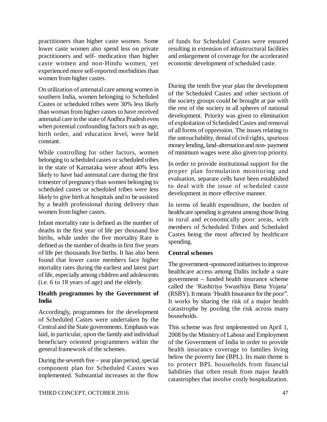practitioners than higher caste women. Some lower caste women also spend less on private practitioners and self- medication than higher caste women and non-Hindu women, yet experienced more self-reported morbidities than women from higher castes.

On utilization of antenatal care among women in southern India, women belonging to Scheduled Castes or scheduled tribes were 30% less likely than woman from higher castes to have received antenatal care in the state of Andhra Pradesh even when potential confounding factors such as age, birth order, and education level, were held constant.

While controlling for other factors, women belonging to scheduled castes or scheduled tribes in the state of Karnataka were about 40% less likely to have had antenatal care during the first trimester of pregnancy than women belonging to scheduled castes or scheduled tribes were less likely to give birth at hospitals and to be assisted by a health professional during delivery than women from higher castes.

Infant mortality rate is defined as the number of deaths in the first year of life per thousand live births, while under the five mortality Rate is defined as the number of deaths in first five years of life per thousands live births. It has also been found that lower caste members face higher mortality rates during the earliest and latest part of life, especially among children and adolescents (i.e. 6 to 18 years of age) and the elderly.

# **Health programmes by the Government of India**

Accordingly, programmes for the development of Scheduled Castes were undertaken by the Central and the State governments. Emphasis was laid, in particular, upon the family and individual beneficiary oriented programmers within the general framework of the schemes.

During the seventh five – year plan period, special component plan for Scheduled Castes was implemented. Substantial increases in the flow

of funds for Scheduled Castes were ensured resulting in extension of infrastructural facilities and enlargement of coverage for the accelerated economic development of scheduled caste.

During the tenth five year plan the development of the Scheduled Castes and other sections of the society groups could be brought at par with the rest of the society in all spheres of national development. Priority was given to elimination of exploitation of Scheduled Castes and removal of all forms of oppression. The issues relating to the untouchability, denial of civil rights, spurious money lending, land-alternation and non- payment of minimum wages were also given top priority.

In order to provide institutional support for the proper plan formulation monitoring and evaluation, separate cells have been established to deal with the issue of scheduled caste development in more effective manner.

In terms of health expenditure, the burden of healthcare spending is greatest among those living in rural and economically poor areas, with members of Scheduled Tribes and Scheduled Castes being the most affected by healthcare spending.

# **Central schemes**

The government-sponsored initiatives to improve healthcare access among Dalits include a state government – funded health insurance scheme called the 'Rashtriya Swasthiya Bima Yojana' (RSBY). It means 'Health Insurance for the poor". It works by sharing the risk of a major health catastrophe by pooling the risk across many households.

This scheme was first implemented on April 1, 2008 by the Ministry of Labour and Employment of the Government of India in order to provide health insurance coverage to families living below the poverty line (BPL). Its main theme is to protect BPL households from financial liabilities that often result from major health catastrophes that involve costly hospitalization.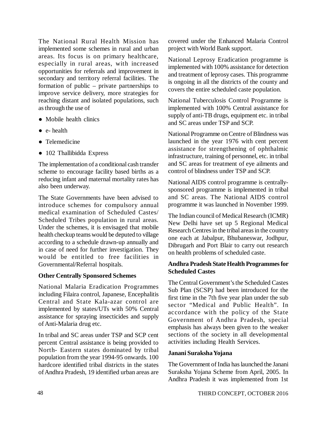The National Rural Health Mission has implemented some schemes in rural and urban areas. Its focus is on primary healthcare, especially in rural areas, with increased opportunities for referrals and improvement in secondary and territory referral facilities. The formation of public – private partnerships to improve service delivery, more strategies for reaching distant and isolated populations, such as through the use of

- Mobile health clinics
- e- health
- Telemedicine
- 102 Thallibidda Express

The implementation of a conditional cash transfer scheme to encourage facility based births as a reducing infant and maternal mortality rates has also been underway.

The State Governments have been advised to introduce schemes for compulsory annual medical examination of Scheduled Castes/ Scheduled Tribes population in rural areas. Under the schemes, it is envisaged that mobile health checkup teams would be deputed to village according to a schedule drawn-up annually and in case of need for further investigation. They would be entitled to free facilities in Governmental/Referral hospitals.

#### **Other Centrally Sponsored Schemes**

National Malaria Eradication Programmes including Filaira control, Japanese, Encephalitis Central and State Kala-azar control are implemented by states/UTs with 50% Central assistance for spraying insecticides and supply of Anti-Malaria drug etc.

In tribal and SC areas under TSP and SCP cent percent Central assistance is being provided to North- Eastern states dominated by tribal population from the year 1994-95 onwards. 100 hardcore identified tribal districts in the states of Andhra Pradesh, 19 identified urban areas are covered under the Enhanced Malaria Control project with World Bank support.

National Leprosy Eradication programme is implemented with 100% assistance for detection and treatment of leprosy cases. This programme is ongoing in all the districts of the county and covers the entire scheduled caste population.

National Tuberculosis Control Programme is implemented with 100% Central assistance for supply of anti-TB drugs, equipment etc. in tribal and SC areas under TSP and SCP.

National Programme on Centre of Blindness was launched in the year 1976 with cent percent assistance for strengthening of ophthalmic infrastructure, training of personnel, etc. in tribal and SC areas for treatment of eye ailments and control of blindness under TSP and SCP.

National AIDS control programme is centrallysponsored programme is implemented in tribal and SC areas. The National AIDS control programme it was launched in November 1999.

The Indian council of Medical Research (ICMR) New Delhi have set up 5 Regional Medical Research Centres in the tribal areas in the country one each at Jabalpur, Bhubaneswar, Jodhpur, Dibrugarh and Port Blair to carry out research on health problems of scheduled caste.

### **Andhra Pradesh State Health Programmes for Scheduled Castes**

The Central Government's the Scheduled Castes Sub Plan (SCSP) had been introduced for the first time in the 7th five year plan under the sub sector "Medical and Public Health". In accordance with the policy of the State Government of Andhra Pradesh, special emphasis has always been given to the weaker sections of the society in all developmental activities including Health Services.

#### **Janani Suraksha Yojana**

The Government of India has launched the Janani Suraksha Yojana Scheme from April, 2005. In Andhra Pradesh it was implemented from 1st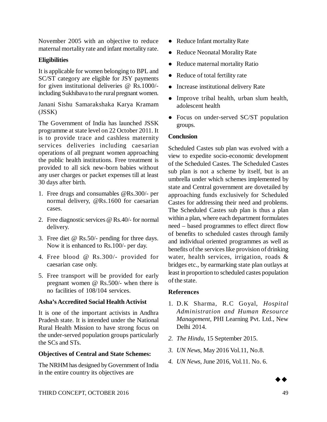November 2005 with an objective to reduce maternal mortality rate and infant mortality rate.

# **Eligibilities**

It is applicable for women belonging to BPL and SC/ST category are eligible for JSY payments for given institutional deliveries @ Rs.1000/ including Sukhibava to the rural pregnant women.

Janani Sishu Samarakshaka Karya Kramam (JSSK)

The Government of India has launched JSSK programme at state level on 22 October 2011. It is to provide trace and cashless maternity services deliveries including caesarian operations of all pregnant women approaching the public health institutions. Free treatment is provided to all sick new-born babies without any user charges or packet expenses till at least 30 days after birth.

- 1. Free drugs and consumables [@Rs.300/-](mailto:@Rs.300/-) per normal delivery, [@Rs.1600](mailto:@Rs.1600) for caesarian cases.
- 2. Free diagnostic services @ Rs.40/- for normal delivery.
- 3. Free diet @ Rs.50/- pending for three days. Now it is enhanced to Rs.100/- per day.
- 4. Free blood @ Rs.300/- provided for caesarian case only.
- 5. Free transport will be provided for early pregnant women @ Rs.500/- when there is no facilities of 108/104 services.

# **Asha's Accredited Social Health Activist**

It is one of the important activists in Andhra Pradesh state. It is intended under the National Rural Health Mission to have strong focus on the under-served population groups particularly the SCs and STs.

#### **Objectives of Central and State Schemes:**

The NRHM has designed by Government of India in the entire country its objectives are

- Reduce Infant mortality Rate
- Reduce Neonatal Morality Rate
- Reduce maternal mortality Ratio
- Reduce of total fertility rate
- Increase institutional delivery Rate
- Improve tribal health, urban slum health, adolescent health
- Focus on under-served SC/ST population groups.

# **Conclusion**

Scheduled Castes sub plan was evolved with a view to expedite socio-economic development of the Scheduled Castes. The Scheduled Castes sub plan is not a scheme by itself, but is an umbrella under which schemes implemented by state and Central government are dovetailed by approaching funds exclusively for Scheduled Castes for addressing their need and problems. The Scheduled Castes sub plan is thus a plan within a plan, where each department formulates need – based programmes to effect direct flow of benefits to scheduled castes through family and individual oriented programmes as well as benefits of the services like provision of drinking water, health services, irrigation, roads & bridges etc., by earmarking state plan outlays at least in proportion to scheduled castes population of the state.

#### **References**

- 1. D.K Sharma, R.C Goyal, *Hospital Administration and Human Resource Management*, PHI Learning Pvt. Ltd., New Delhi 2014.
- *2. The Hindu*, 15 September 2015.
- *3. UN News*, May 2016 Vol.11, No.8.
- *4. UN News*, June 2016, Vol.11. No. 6.

 $\rightarrow \bullet$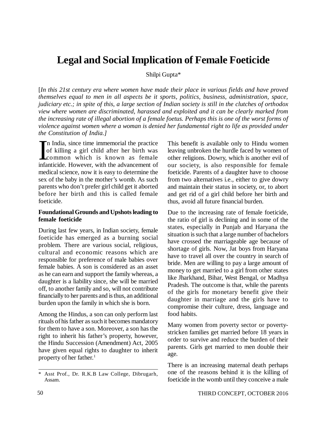# **Legal and Social Implication of Female Foeticide**

Shilpi Gupta\*

[*In this 21st century era where women have made their place in various fields and have proved themselves equal to men in all aspects be it sports, politics, business, administration, space, judiciary etc.; in spite of this, a large section of Indian society is still in the clutches of orthodox view where women are discriminated, harassed and exploited and it can be clearly marked from the increasing rate of illegal abortion of a female foetus. Perhaps this is one of the worst forms of violence against women where a woman is denied her fundamental right to life as provided under the Constitution of India.]*

In India, since time immemorial the practice<br>of killing a girl child after her birth was<br>common which is known as female<br>infanticide. However, with the advancement of n India, since time immemorial the practice of killing a girl child after her birth was common which is known as female medical science, now it is easy to determine the sex of the baby in the mother's womb. As such parents who don't prefer girl child get it aborted before her birth and this is called female foeticide.

### **Foundational Grounds and Upshots leading to female foeticide**

During last few years, in Indian society, female foeticide has emerged as a burning social problem. There are various social, religious, cultural and economic reasons which are responsible for preference of male babies over female babies. A son is considered as an asset as he can earn and support the family whereas, a daughter is a liability since, she will be married off, to another family and so, will not contribute financially to her parents and is thus, an additional burden upon the family in which she is born.

Among the Hindus, a son can only perform last rituals of his father as such it becomes mandatory for them to have a son. Moreover, a son has the right to inherit his father's property, however, the Hindu Succession (Amendment) Act, 2005 have given equal rights to daughter to inherit property of her father.<sup>1</sup>

This benefit is available only to Hindu women leaving unbroken the hurdle faced by women of other religions. Dowry, which is another evil of our society, is also responsible for female foeticide. Parents of a daughter have to choose from two alternatives i.e., either to give dowry and maintain their status in society, or, to abort and get rid of a girl child before her birth and thus, avoid all future financial burden.

Due to the increasing rate of female foeticide, the ratio of girl is declining and in some of the states, especially in Punjab and Haryana the situation is such that a large number of bachelors have crossed the marriageable age because of shortage of girls. Now, Jat boys from Haryana have to travel all over the country in search of bride. Men are willing to pay a large amount of money to get married to a girl from other states like Jharkhand, Bihar, West Bengal, or Madhya Pradesh. The outcome is that, while the parents of the girls for monetary benefit give their daughter in marriage and the girls have to compromise their culture, dress, language and food habits.

Many women from poverty sector or povertystricken families get married before 18 years in order to survive and reduce the burden of their parents. Girls get married to men double their age.

There is an increasing maternal death perhaps one of the reasons behind it is the killing of foeticide in the womb until they conceive a male

<sup>\*</sup> Asst Prof., Dr. R.K.B Law College, Dibrugarh, Assam.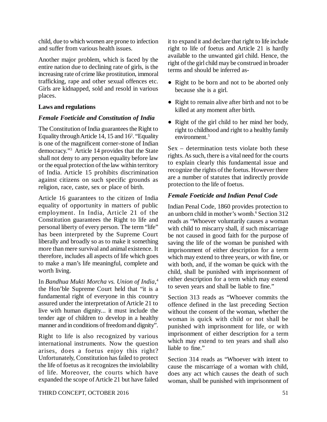child, due to which women are prone to infection and suffer from various health issues.

Another major problem, which is faced by the entire nation due to declining rate of girls, is the increasing rate of crime like prostitution, immoral trafficking, rape and other sexual offences etc. Girls are kidnapped, sold and resold in various places.

#### **Laws and regulations**

#### *Female Foeticide and Constitution of India*

The Constitution of India guarantees the Right to Equality through Article 14, 15 and 16<sup>2</sup>. "Equality is one of the magnificent corner-stone of Indian democracy."<sup>3</sup> Article 14 provides that the State shall not deny to any person equality before law or the equal protection of the law within territory of India. Article 15 prohibits discrimination against citizens on such specific grounds as religion, race, caste, sex or place of birth.

Article 16 guarantees to the citizen of India equality of opportunity in matters of public employment. In India, Article 21 of the Constitution guarantees the Right to life and personal liberty of every person. The term "life" has been interpreted by the Supreme Court liberally and broadly so as to make it something more than mere survival and animal existence. It therefore, includes all aspects of life which goes to make a man's life meaningful, complete and worth living.

In *Bandhua Mukti Morcha vs. Union of India*, 4 the Hon'ble Supreme Court held that "it is a fundamental right of everyone in this country assured under the interpretation of Article 21 to live with human dignity... it must include the tender age of children to develop in a healthy manner and in conditions of freedom and dignity".

Right to life is also recognized by various international instruments. Now the question arises, does a foetus enjoy this right? Unfortunately, Constitution has failed to protect the life of foetus as it recognizes the inviolability of life. Moreover, the courts which have expanded the scope of Article 21 but have failed it to expand it and declare that right to life include right to life of foetus and Article 21 is hardly available to the unwanted girl child. Hence, the right of the girl child may be construed in broader terms and should be inferred as-

- Right to be born and not to be aborted only because she is a girl.
- Right to remain alive after birth and not to be killed at any moment after birth.
- Right of the girl child to her mind her body, right to childhood and right to a healthy family environment<sup>5</sup>

Sex – determination tests violate both these rights. As such, there is a vital need for the courts to explain clearly this fundamental issue and recognize the rights of the foetus. However there are a number of statutes that indirectly provide protection to the life of foetus.

#### *Female Foeticide and Indian Penal Code*

Indian Penal Code, 1860 provides protection to an unborn child in mother's womb.<sup>6</sup> Section 312 reads as "Whoever voluntarily causes a woman with child to miscarry shall, if such miscarriage be not caused in good faith for the purpose of saving the life of the woman be punished with imprisonment of either description for a term which may extend to three years, or with fine, or with both, and, if the woman be quick with the child, shall be punished with imprisonment of either description for a term which may extend to seven years and shall be liable to fine."

Section 313 reads as "Whoever commits the offence defined in the last preceding Section without the consent of the woman, whether the woman is quick with child or not shall be punished with imprisonment for life, or with imprisonment of either description for a term which may extend to ten years and shall also liable to fine."

Section 314 reads as "Whoever with intent to cause the miscarriage of a woman with child, does any act which causes the death of such woman, shall be punished with imprisonment of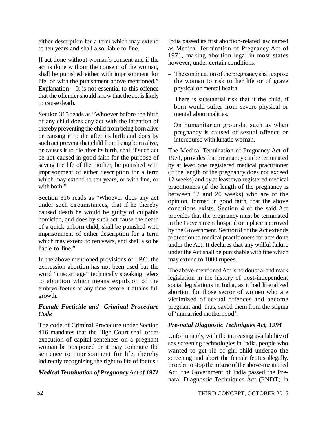either description for a term which may extend to ten years and shall also liable to fine.

If act done without woman's consent and if the act is done without the consent of the woman, shall be punished either with imprisonment for life, or with the punishment above mentioned." Explanation – It is not essential to this offence that the offender should know that the act is likely to cause death.

Section 315 reads as "Whoever before the birth of any child does any act with the intention of thereby preventing the child from being born alive or causing it to die after its birth and does by such act prevent that child from being born alive, or causes it to die after its birth, shall if such act be not caused in good faith for the purpose of saving the life of the mother, be punished with imprisonment of either description for a term which may extend to ten years, or with fine, or with both."

Section 316 reads as "Whoever does any act under such circumstances, that if he thereby caused death he would be guilty of culpable homicide, and does by such act cause the death of a quick unborn child, shall be punished with imprisonment of either description for a term which may extend to ten years, and shall also be liable to fine."

In the above mentioned provisions of I.P.C. the expression abortion has not been used but the word "miscarriage" technically speaking refers to abortion which means expulsion of the embryo-foetus at any time before it attains full growth.

### *Female Foeticide and Criminal Procedure Code*

The code of Criminal Procedure under Section 416 mandates that the High Court shall order execution of capital sentences on a pregnant woman be postponed or it may commute the sentence to imprisonment for life, thereby indirectly recognizing the right to life of foetus.<sup>7</sup>

# *Medical Termination of Pregnancy Act of 1971*

India passed its first abortion-related law named as Medical Termination of Pregnancy Act of 1971, making abortion legal in most states however, under certain conditions.

- The continuation of the pregnancy shall expose the woman to risk to her life or of grave physical or mental health.
- There is substantial risk that if the child, if born would suffer from severe physical or mental abnormalities.
- On humanitarian grounds, such as when pregnancy is caused of sexual offence or intercourse with lunatic woman.

The Medical Termination of Pregnancy Act of 1971, provides that pregnancy can be terminated by at least one registered medical practitioner (if the length of the pregnancy does not exceed 12 weeks) and by at least two registered medical practitioners (if the length of the pregnancy is between 12 and 20 weeks) who are of the opinion, formed in good faith, that the above conditions exists. Section 4 of the said Act provides that the pregnancy must be terminated in the Government hospital or a place approved by the Government. Section 8 of the Act extends protection to medical practitioners for acts done under the Act. It declares that any willful failure under the Act shall be punishable with fine which may extend to 1000 rupees.

The above-mentioned Act is no doubt a land mark legislation in the history of post-independent social legislations in India, as it had liberalized abortion for those sector of women who are victimized of sexual offences and become pregnant and, thus, saved them from the stigma of 'unmarried motherhood'.

# *Pre-natal Diagnostic Techniques Act, 1994*

Unfortunately, with the increasing availability of sex screening technologies in India, people who wanted to get rid of girl child undergo the screening and abort the female feotus illegally. In order to stop the misuse of the above-mentioned Act, the Government of India passed the Prenatal Diagnostic Techniques Act (PNDT) in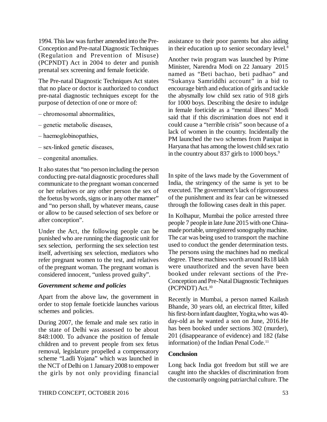1994. This law was further amended into the Pre-Conception and Pre-natal Diagnostic Techniques (Regulation and Prevention of Misuse) (PCPNDT) Act in 2004 to deter and punish prenatal sex screening and female foeticide.

The Pre-natal Diagnostic Techniques Act states that no place or doctor is authorized to conduct pre-natal diagnostic techniques except for the purpose of detection of one or more of:

- chromosomal abnormalities,
- genetic metabolic diseases,
- haemoglobinopathies,
- sex-linked genetic diseases,
- congenital anomalies.

It also states that "no person including the person conducting pre-natal diagnostic procedures shall communicate to the pregnant woman concerned or her relatives or any other person the sex of the foetus by words, signs or in any other manner" and "no person shall, by whatever means, cause or allow to be caused selection of sex before or after conception".

Under the Act, the following people can be punished who are running the diagnostic unit for sex selection, performing the sex selection test itself, advertising sex selection, mediators who refer pregnant women to the test, and relatives of the pregnant woman. The pregnant woman is considered innocent, "unless proved guilty".

#### *Government scheme and policies*

Apart from the above law, the government in order to stop female foeticide launches various schemes and policies.

During 2007, the female and male sex ratio in the state of Delhi was assessed to be about 848:1000. To advance the position of female children and to prevent people from sex fetus removal, legislature propelled a compensatory scheme "Ladli Yojana" which was launched in the NCT of Delhi on 1 January 2008 to empower the girls by not only providing financial

assistance to their poor parents but also aiding in their education up to senior secondary level.<sup>8</sup>

Another twin program was launched by Prime Minister, Narendra Modi on 22 January 2015 named as "Beti bachao, beti padhao" and "Sukanya Samriddhi account" in a bid to encourage birth and education of girls and tackle the abysmally low child sex ratio of 918 girls for 1000 boys. Describing the desire to indulge in female foeticide as a "mental illness" Modi said that if this discrimination does not end it could cause a "terrible crisis" soon because of a lack of women in the country. Incidentally the PM launched the two schemes from Panipat in Haryana that has among the lowest child sex ratio in the country about 837 girls to 1000 boys.<sup>9</sup>

In spite of the laws made by the Government of India, the stringency of the same is yet to be executed. The government's lack of rigorousness of the punishment and its fear can be witnessed through the following cases dealt in this paper.

In Kolhapur, Mumbai the police arrested three people 7 people in late June 2015 with one Chinamade portable, unregistered sonography machine. The car was being used to transport the machine used to conduct the gender determination tests. The persons using the machines had no medical degree. These machines worth around Rs18 lakh were unauthorized and the seven have been booked under relevant sections of the Pre-Conception and Pre-Natal Diagnostic Techniques (PCPNDT) Act.<sup>10</sup>

Recently in Mumbai, a person named Kailash Bhande, 30 years old, an electrical fitter, killed his first-born infant daughter, Yogita,who was 40 day-old as he wanted a son on June, 2016.He has been booked under sections 302 (murder), 201 (disappearance of evidence) and 182 (false information) of the Indian Penal Code.<sup>11</sup>

#### **Conclusion**

Long back India got freedom but still we are caught into the shackles of discrimination from the customarily ongoing patriarchal culture. The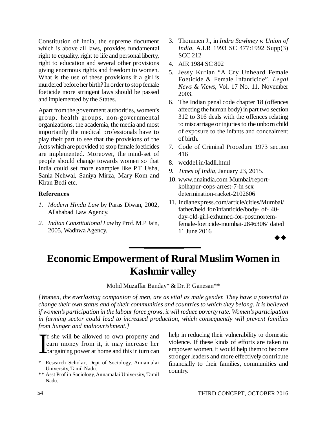Constitution of India, the supreme document which is above all laws, provides fundamental right to equality, right to life and personal liberty, right to education and several other provisions giving enormous rights and freedom to women. What is the use of these provisions if a girl is murdered before her birth? In order to stop female foeticide more stringent laws should be passed and implemented by the States.

Apart from the government authorities, women's group, health groups, non-governmental organizations, the academia, the media and most importantly the medical professionals have to play their part to see that the provisions of the Acts which are provided to stop female foeticides are implemented. Moreover, the mind-set of people should change towards women so that India could set more examples like P.T Usha, Sania Nehwal, Saniya Mirza, Mary Kom and Kiran Bedi etc.

#### **References**

- *1. Modern Hindu Law* by Paras Diwan, 2002, Allahabad Law Agency.
- *2. Indian Constitutional Law* by Prof. M.P Jain, 2005, Wadhwa Agency.
- 3. Thommen J., in *Indra Sawhney v. Union of India*, A.I.R 1993 SC 477:1992 Supp(3) SCC 212
- 4. AIR 1984 SC 802
- 5. Jessy Kurian "A Cry Unheard Female Foeticide & Female Infanticide", *Legal News & Views*, Vol. 17 No. 11. November 2003.
- 6. The Indian penal code chapter 18 (offences affecting the human body) in part two section 312 to 316 deals with the offences relating to miscarriage or injuries to the unborn child of exposure to the infants and concealment of birth.
- 7. Code of Criminal Procedure 1973 section 416
- 8. wcddel.in/ladli.html
- *9. Times of India*, January 23, 2015.
- 10. [www.dnaindia.com](http://www.dnaindia.com) Mumbai/reportkolhapur-cops-arrest-7-in sex determination-racket-2102606
- 11. Indianexpress.com/article/cities/Mumbai/ father/held for/infanticide/body- of- 40 day-old-girl-exhumed-for-postmortemfemale-foeticide-mumbai-2846306/ dated 11 June 2016

# $\rightarrow \rightarrow$

# **Economic Empowerment of Rural Muslim Women in Kashmir valley**

Mohd Muzaffar Banday\* & Dr. P. Ganesan\*\*

*[Women, the everlasting companion of men, are as vital as male gender. They have a potential to change their own status and of their communities and countries to which they belong. It is believed if women's participation in the labour force grows, it will reduce poverty rate. Women's participation in farming sector could lead to increased production, which consequently will prevent families from hunger and malnourishment.]*

Ideology<br>List f she will be allowed to own property and earn money from it, it may increase her bargaining power at home and this in turn can

help in reducing their vulnerability to domestic violence. If these kinds of efforts are taken to empower women, it would help them to become stronger leaders and more effectively contribute financially to their families, communities and country.

Research Scholar, Dept of Sociology, Annamalai University, Tamil Nadu.

<sup>\*\*</sup> Asst Prof in Sociology, Annamalai University, Tamil Nadu.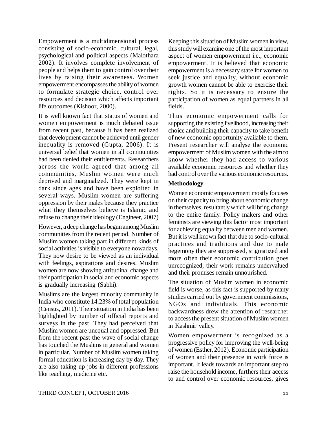Empowerment is a multidimensional process consisting of socio-economic, cultural, legal, psychological and political aspects (Malothara 2002). It involves complete involvement of people and helps them to gain control over their lives by raising their awareness. Women empowerment encompasses the ability of women to formulate strategic choice, control over resources and decision which affects important life outcomes (Kishoor, 2000).

It is well known fact that status of women and women empowerment is much debated issue from recent past, because it has been realized that development cannot be achieved until gender inequality is removed (Gupta, 2006). It is universal belief that women in all communities had been denied their entitlements. Researchers across the world agreed that among all communities, Muslim women were much deprived and marginalized. They were kept in dark since ages and have been exploited in several ways. Muslim women are suffering oppression by their males because they practice what they themselves believe is Islamic and refuse to change their ideology (Engineer, 2007)

However, a deep change has begun among Muslim communities from the recent period. Number of Muslim women taking part in different kinds of social activities is visible to everyone nowadays. They now desire to be viewed as an individual with feelings, aspirations and desires. Muslim women are now showing attitudinal change and their participation in social and economic aspects is gradually increasing (Sabhi).

Muslims are the largest minority community in India who constitute 14.23% of total population (Census, 2011). Their situation in India has been highlighted by number of official reports and surveys in the past. They had perceived that Muslim women are unequal and oppressed. But from the recent past the wave of social change has touched the Muslims in general and women in particular. Number of Muslim women taking formal education is increasing day by day. They are also taking up jobs in different professions like teaching, medicine etc.

Keeping this situation of Muslim women in view, this study will examine one of the most important aspect of women empowerment i.e., economic empowerment. It is believed that economic empowerment is a necessary state for women to seek justice and equality, without economic growth women cannot be able to exercise their rights. So it is necessary to ensure the participation of women as equal partners in all fields.

Thus economic empowerment calls for supporting the existing livelihood, increasing their choice and building their capacity to take benefit of new economic opportunity available to them. Present researcher will analyse the economic empowerment of Muslim women with the aim to know whether they had access to various available economic resources and whether they had control over the various economic resources.

### **Methodology**

Women economic empowerment mostly focuses on their capacity to bring about economic change in themselves, resultantly which will bring change to the entire family. Policy makers and other feminists are viewing this factor most important for achieving equality between men and women. But it is well known fact that due to socio-cultural practices and traditions and due to male hegemony they are suppressed, stigmatized and more often their economic contribution goes unrecognized, their work remains undervalued and their promises remain unnourished.

The situation of Muslim women in economic field is worse, as this fact is supported by many studies carried out by government commissions, NGOs and individuals. This economic backwardness drew the attention of researcher to access the present situation of Muslim women in Kashmir valley.

Women empowerment is recognized as a progressive policy for improving the well-being of women (Esther, 2012). Economic participation of women and their presence in work force is important. It leads towards an important step to raise the household income, furthers their access to and control over economic resources, gives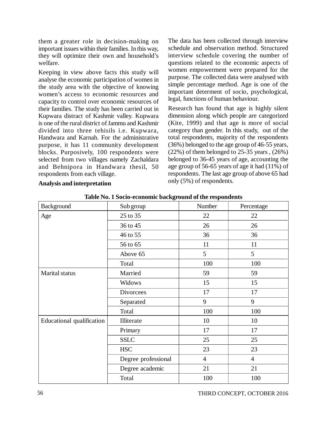them a greater role in decision-making on important issues within their families. In this way, they will optimize their own and household's welfare.

Keeping in view above facts this study will analyse the economic participation of women in the study area with the objective of knowing women's access to economic resources and capacity to control over economic resources of their families. The study has been carried out in Kupwara distract of Kashmir valley. Kupwara is one of the rural district of Jammu and Kashmir divided into three tehisils i.e. Kupwara, Handwara and Karnah. For the administrative purpose, it has 11 community development blocks. Purposively, 100 respondents were selected from two villages namely Zachaldara and Behnipora in Handwara thesil, 50 respondents from each village.

**Analysis and interpretation**

The data has been collected through interview schedule and observation method. Structured interview schedule covering the number of questions related to the economic aspects of women empowerment were prepared for the purpose. The collected data were analysed with simple percentage method. Age is one of the important determent of socio, psychological, legal, functions of human behaviour.

Research has found that age is highly silent dimension along which people are categorized (Kite, 1999) and that age is more of social category than gender. In this study, out of the total respondents, majority of the respondents (36%) belonged to the age group of 46-55 years,  $(22%)$  of them belonged to 25-35 years ,  $(26%)$ belonged to 36-45 years of age, accounting the age group of 56-65 years of age it had (11%) of respondents. The last age group of above 65 had only (5%) of respondents.

| Background                       | Sub group           | Number         | Percentage     |
|----------------------------------|---------------------|----------------|----------------|
| Age                              | 25 to 35            | 22             | 22             |
|                                  | 36 to 45            | 26             | 26             |
|                                  | 46 to 55            | 36             | 36             |
|                                  | 56 to 65            | 11             | 11             |
|                                  | Above 65            | 5              | 5              |
|                                  | Total               | 100            | 100            |
| Marital status                   | Married             | 59             | 59             |
|                                  | Widows              | 15             | 15             |
|                                  | <b>Divorcees</b>    | 17             | 17             |
|                                  | Separated           | 9              | 9              |
|                                  | Total               | 100            | 100            |
| <b>Educational qualification</b> | Illiterate          | 10             | 10             |
|                                  | Primary             | 17             | 17             |
|                                  | <b>SSLC</b>         | 25             | 25             |
|                                  | <b>HSC</b>          | 23             | 23             |
|                                  | Degree professional | $\overline{4}$ | $\overline{4}$ |
|                                  | Degree academic     | 21             | 21             |
|                                  | Total               | 100            | 100            |

**Table No. 1 Socio-economic background of the respondents**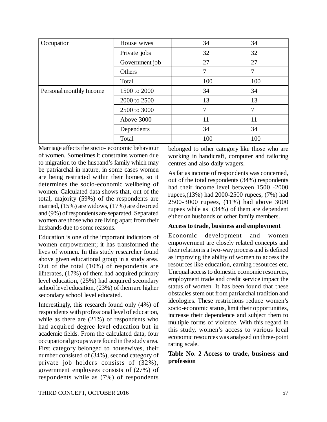| Occupation              | House wives    | 34  | 34  |
|-------------------------|----------------|-----|-----|
|                         | Private jobs   | 32  | 32  |
|                         | Government job | 27  | 27  |
|                         | Others         | 7   | 7   |
|                         | Total          | 100 | 100 |
| Personal monthly Income | 1500 to 2000   | 34  | 34  |
|                         | 2000 to 2500   | 13  | 13  |
|                         | 2500 to 3000   | 7   | 7   |
|                         | Above 3000     | 11  | 11  |
|                         | Dependents     | 34  | 34  |
|                         | Total          | 100 | 100 |

Marriage affects the socio- economic behaviour of women. Sometimes it constrains women due to migration to the husband's family which may be patriarchal in nature, in some cases women are being restricted within their homes, so it determines the socio-economic wellbeing of women. Calculated data shows that, out of the total, majority (59%) of the respondents are married, (15%) are widows, (17%) are divorced and (9%) of respondents are separated. Separated women are those who are living apart from their husbands due to some reasons.

Education is one of the important indicators of women empowerment; it has transformed the lives of women. In this study researcher found above given educational group in a study area. Out of the total (10%) of respondents are illiterates, (17%) of them had acquired primary level education, (25%) had acquired secondary school level education, (23%) of them are higher secondary school level educated.

Interestingly, this research found only (4%) of respondents with professional level of education, while as there are (21%) of respondents who had acquired degree level education but in academic fields. From the calculated data, four occupational groups were found in the study area. First category belonged to housewives, their number consisted of (34%), second category of private job holders consists of (32%), government employees consists of (27%) of respondents while as (7%) of respondents

belonged to other category like those who are working in handicraft, computer and tailoring centres and also daily wagers.

As far as income of respondents was concerned, out of the total respondents (34%) respondents had their income level between 1500 -2000 rupees,(13%) had 2000-2500 rupees, (7%) had 2500-3000 rupees, (11%) had above 3000 rupees while as (34%) of them are dependent either on husbands or other family members.

#### **Access to trade, business and employment**

Economic development and women empowerment are closely related concepts and their relation is a two-way process and is defined as improving the ability of women to access the resources like education, earning resources etc. Unequal access to domestic economic resources, employment trade and credit service impact the status of women. It has been found that these obstacles stem out from patriarchal tradition and ideologies. These restrictions reduce women's socio-economic status, limit their opportunities, increase their dependence and subject them to multiple forms of violence. With this regard in this study, women's access to various local economic resources was analysed on three-point rating scale.

### **Table No. 2 Access to trade, business and profession**